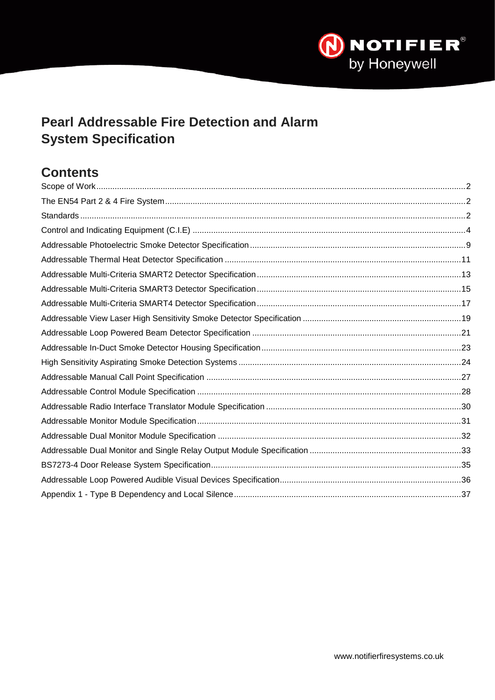

# **Pearl Addressable Fire Detection and Alarm System Specification**

# **Contents**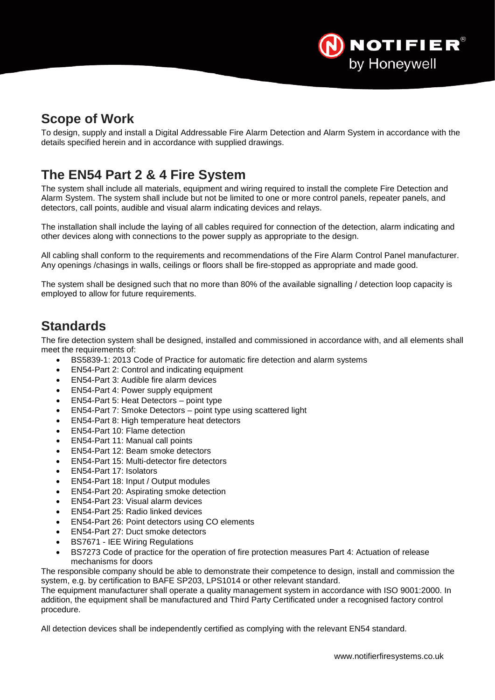

## <span id="page-1-0"></span>**Scope of Work**

<span id="page-1-1"></span>To design, supply and install a Digital Addressable Fire Alarm Detection and Alarm System in accordance with the details specified herein and in accordance with supplied drawings.

# **The EN54 Part 2 & 4 Fire System**

The system shall include all materials, equipment and wiring required to install the complete Fire Detection and Alarm System. The system shall include but not be limited to one or more control panels, repeater panels, and detectors, call points, audible and visual alarm indicating devices and relays.

The installation shall include the laying of all cables required for connection of the detection, alarm indicating and other devices along with connections to the power supply as appropriate to the design.

All cabling shall conform to the requirements and recommendations of the Fire Alarm Control Panel manufacturer. Any openings /chasings in walls, ceilings or floors shall be fire-stopped as appropriate and made good.

<span id="page-1-2"></span>The system shall be designed such that no more than 80% of the available signalling / detection loop capacity is employed to allow for future requirements.

## **Standards**

The fire detection system shall be designed, installed and commissioned in accordance with, and all elements shall meet the requirements of:

- BS5839-1: 2013 Code of Practice for automatic fire detection and alarm systems
- EN54-Part 2: Control and indicating equipment
- EN54-Part 3: Audible fire alarm devices
- EN54-Part 4: Power supply equipment
- EN54-Part 5: Heat Detectors point type
- EN54-Part 7: Smoke Detectors point type using scattered light
- EN54-Part 8: High temperature heat detectors
- EN54-Part 10: Flame detection
- EN54-Part 11: Manual call points
- EN54-Part 12: Beam smoke detectors
- EN54-Part 15: Multi-detector fire detectors
- EN54-Part 17: Isolators
- EN54-Part 18: Input / Output modules
- EN54-Part 20: Aspirating smoke detection
- EN54-Part 23: Visual alarm devices
- EN54-Part 25: Radio linked devices
- EN54-Part 26: Point detectors using CO elements
- EN54-Part 27: Duct smoke detectors
- BS7671 IEE Wiring Regulations
- BS7273 Code of practice for the operation of fire protection measures Part 4: Actuation of release mechanisms for doors

The responsible company should be able to demonstrate their competence to design, install and commission the system, e.g. by certification to BAFE SP203, LPS1014 or other relevant standard.

The equipment manufacturer shall operate a quality management system in accordance with ISO 9001:2000. In addition, the equipment shall be manufactured and Third Party Certificated under a recognised factory control procedure.

All detection devices shall be independently certified as complying with the relevant EN54 standard.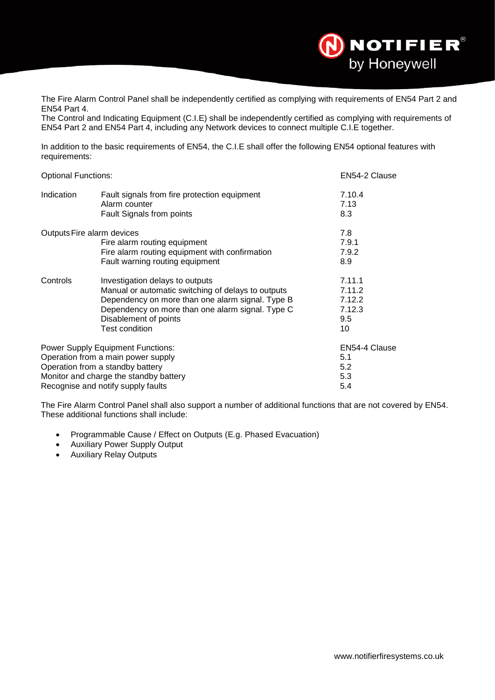

The Fire Alarm Control Panel shall be independently certified as complying with requirements of EN54 Part 2 and EN54 Part 4.

The Control and Indicating Equipment (C.I.E) shall be independently certified as complying with requirements of EN54 Part 2 and EN54 Part 4, including any Network devices to connect multiple C.I.E together.

In addition to the basic requirements of EN54, the C.I.E shall offer the following EN54 optional features with requirements:

| <b>Optional Functions:</b> |                                                                                                                                                                                                                                                 | EN54-2 Clause                                     |
|----------------------------|-------------------------------------------------------------------------------------------------------------------------------------------------------------------------------------------------------------------------------------------------|---------------------------------------------------|
| Indication                 | Fault signals from fire protection equipment<br>Alarm counter<br>Fault Signals from points                                                                                                                                                      | 7.10.4<br>7.13<br>8.3                             |
|                            | Outputs Fire alarm devices<br>Fire alarm routing equipment<br>Fire alarm routing equipment with confirmation<br>Fault warning routing equipment                                                                                                 | 7.8<br>7.9.1<br>7.9.2<br>8.9                      |
| Controls                   | Investigation delays to outputs<br>Manual or automatic switching of delays to outputs<br>Dependency on more than one alarm signal. Type B<br>Dependency on more than one alarm signal. Type C<br>Disablement of points<br><b>Test condition</b> | 7.11.1<br>7.11.2<br>7.12.2<br>7.12.3<br>9.5<br>10 |
|                            | <b>Power Supply Equipment Functions:</b><br>Operation from a main power supply<br>Operation from a standby battery<br>Monitor and charge the standby battery<br>Recognise and notify supply faults                                              | EN54-4 Clause<br>5.1<br>5.2<br>5.3<br>5.4         |

The Fire Alarm Control Panel shall also support a number of additional functions that are not covered by EN54. These additional functions shall include:

- Programmable Cause / Effect on Outputs (E.g. Phased Evacuation)
- Auxiliary Power Supply Output
- Auxiliary Relay Outputs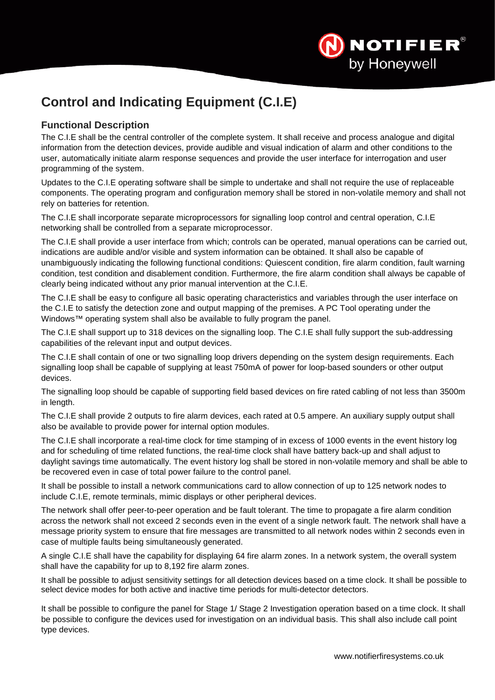

# <span id="page-3-0"></span>**Control and Indicating Equipment (C.I.E)**

## **Functional Description**

The C.I.E shall be the central controller of the complete system. It shall receive and process analogue and digital information from the detection devices, provide audible and visual indication of alarm and other conditions to the user, automatically initiate alarm response sequences and provide the user interface for interrogation and user programming of the system.

Updates to the C.I.E operating software shall be simple to undertake and shall not require the use of replaceable components. The operating program and configuration memory shall be stored in non-volatile memory and shall not rely on batteries for retention.

The C.I.E shall incorporate separate microprocessors for signalling loop control and central operation, C.I.E networking shall be controlled from a separate microprocessor.

The C.I.E shall provide a user interface from which; controls can be operated, manual operations can be carried out, indications are audible and/or visible and system information can be obtained. It shall also be capable of unambiguously indicating the following functional conditions: Quiescent condition, fire alarm condition, fault warning condition, test condition and disablement condition. Furthermore, the fire alarm condition shall always be capable of clearly being indicated without any prior manual intervention at the C.I.E.

The C.I.E shall be easy to configure all basic operating characteristics and variables through the user interface on the C.I.E to satisfy the detection zone and output mapping of the premises. A PC Tool operating under the Windows™ operating system shall also be available to fully program the panel.

The C.I.E shall support up to 318 devices on the signalling loop. The C.I.E shall fully support the sub-addressing capabilities of the relevant input and output devices.

The C.I.E shall contain of one or two signalling loop drivers depending on the system design requirements. Each signalling loop shall be capable of supplying at least 750mA of power for loop-based sounders or other output devices.

The signalling loop should be capable of supporting field based devices on fire rated cabling of not less than 3500m in length.

The C.I.E shall provide 2 outputs to fire alarm devices, each rated at 0.5 ampere. An auxiliary supply output shall also be available to provide power for internal option modules.

The C.I.E shall incorporate a real-time clock for time stamping of in excess of 1000 events in the event history log and for scheduling of time related functions, the real-time clock shall have battery back-up and shall adjust to daylight savings time automatically. The event history log shall be stored in non-volatile memory and shall be able to be recovered even in case of total power failure to the control panel.

It shall be possible to install a network communications card to allow connection of up to 125 network nodes to include C.I.E, remote terminals, mimic displays or other peripheral devices.

The network shall offer peer-to-peer operation and be fault tolerant. The time to propagate a fire alarm condition across the network shall not exceed 2 seconds even in the event of a single network fault. The network shall have a message priority system to ensure that fire messages are transmitted to all network nodes within 2 seconds even in case of multiple faults being simultaneously generated.

A single C.I.E shall have the capability for displaying 64 fire alarm zones. In a network system, the overall system shall have the capability for up to 8,192 fire alarm zones.

It shall be possible to adjust sensitivity settings for all detection devices based on a time clock. It shall be possible to select device modes for both active and inactive time periods for multi-detector detectors.

It shall be possible to configure the panel for Stage 1/ Stage 2 Investigation operation based on a time clock. It shall be possible to configure the devices used for investigation on an individual basis. This shall also include call point type devices.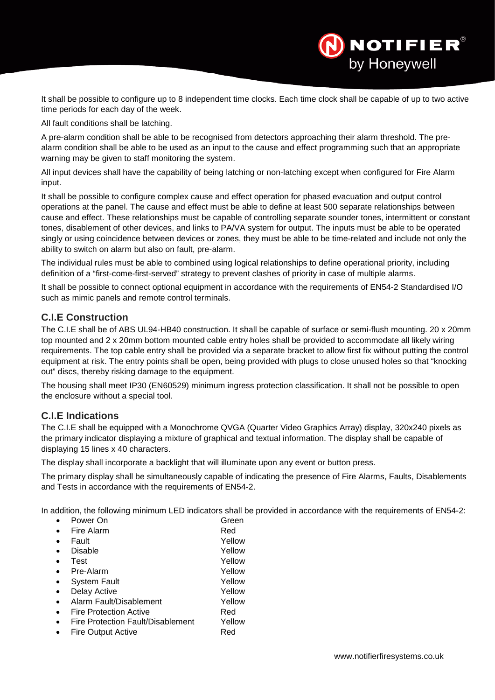It shall be possible to configure up to 8 independent time clocks. Each time clock shall be capable of up to two active time periods for each day of the week.

All fault conditions shall be latching.

A pre-alarm condition shall be able to be recognised from detectors approaching their alarm threshold. The prealarm condition shall be able to be used as an input to the cause and effect programming such that an appropriate warning may be given to staff monitoring the system.

All input devices shall have the capability of being latching or non-latching except when configured for Fire Alarm input.

It shall be possible to configure complex cause and effect operation for phased evacuation and output control operations at the panel. The cause and effect must be able to define at least 500 separate relationships between cause and effect. These relationships must be capable of controlling separate sounder tones, intermittent or constant tones, disablement of other devices, and links to PA/VA system for output. The inputs must be able to be operated singly or using coincidence between devices or zones, they must be able to be time-related and include not only the ability to switch on alarm but also on fault, pre-alarm.

The individual rules must be able to combined using logical relationships to define operational priority, including definition of a "first-come-first-served" strategy to prevent clashes of priority in case of multiple alarms.

It shall be possible to connect optional equipment in accordance with the requirements of EN54-2 Standardised I/O such as mimic panels and remote control terminals.

#### **C.I.E Construction**

The C.I.E shall be of ABS UL94-HB40 construction. It shall be capable of surface or semi-flush mounting. 20 x 20mm top mounted and 2 x 20mm bottom mounted cable entry holes shall be provided to accommodate all likely wiring requirements. The top cable entry shall be provided via a separate bracket to allow first fix without putting the control equipment at risk. The entry points shall be open, being provided with plugs to close unused holes so that "knocking out" discs, thereby risking damage to the equipment.

The housing shall meet IP30 (EN60529) minimum ingress protection classification. It shall not be possible to open the enclosure without a special tool.

## **C.I.E Indications**

The C.I.E shall be equipped with a Monochrome QVGA (Quarter Video Graphics Array) display, 320x240 pixels as the primary indicator displaying a mixture of graphical and textual information. The display shall be capable of displaying 15 lines x 40 characters.

The display shall incorporate a backlight that will illuminate upon any event or button press.

The primary display shall be simultaneously capable of indicating the presence of Fire Alarms, Faults, Disablements and Tests in accordance with the requirements of EN54-2.

In addition, the following minimum LED indicators shall be provided in accordance with the requirements of EN54-2:

| Power On                          | Green  |
|-----------------------------------|--------|
| Fire Alarm                        | Red    |
| Fault                             | Yellow |
| Disable                           | Yellow |
| Test                              | Yellow |
| Pre-Alarm                         | Yellow |
| <b>System Fault</b>               | Yellow |
| Delay Active                      | Yellow |
| Alarm Fault/Disablement           | Yellow |
| <b>Fire Protection Active</b>     | Red    |
| Fire Protection Fault/Disablement | Yellow |
| Fire Output Active                | Red    |
|                                   |        |

NOTIFIER®

by Honeywell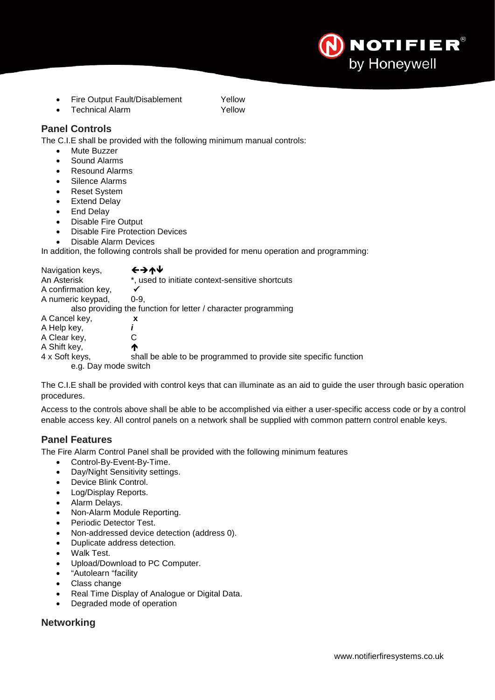

- Fire Output Fault/Disablement Yellow
- **Technical Alarm 7ellow**

#### **Panel Controls**

The C.I.E shall be provided with the following minimum manual controls:

- Mute Buzzer
- Sound Alarms
- Resound Alarms
- Silence Alarms
- **Reset System**
- Extend Delay
- End Delay
- Disable Fire Output
- Disable Fire Protection Devices
- Disable Alarm Devices

In addition, the following controls shall be provided for menu operation and programming:

| Navigation keys,     | チナイト                                                             |
|----------------------|------------------------------------------------------------------|
| An Asterisk          | *, used to initiate context-sensitive shortcuts                  |
| A confirmation key,  |                                                                  |
| A numeric keypad,    | $0 - 9.$                                                         |
|                      | also providing the function for letter / character programming   |
| A Cancel key,        | x                                                                |
| A Help key,          |                                                                  |
| A Clear key,         |                                                                  |
| A Shift key,         | ́↑                                                               |
| 4 x Soft keys,       | shall be able to be programmed to provide site specific function |
| e.g. Day mode switch |                                                                  |

The C.I.E shall be provided with control keys that can illuminate as an aid to guide the user through basic operation procedures.

Access to the controls above shall be able to be accomplished via either a user-specific access code or by a control enable access key. All control panels on a network shall be supplied with common pattern control enable keys.

#### **Panel Features**

The Fire Alarm Control Panel shall be provided with the following minimum features

- Control-By-Event-By-Time.
- Day/Night Sensitivity settings.
- Device Blink Control.
- Log/Display Reports.
- Alarm Delays.
- Non-Alarm Module Reporting.
- Periodic Detector Test.
- Non-addressed device detection (address 0).
- Duplicate address detection.
- Walk Test.
- Upload/Download to PC Computer.
- "Autolearn "facility
- Class change
- Real Time Display of Analogue or Digital Data.
- Degraded mode of operation

## **Networking**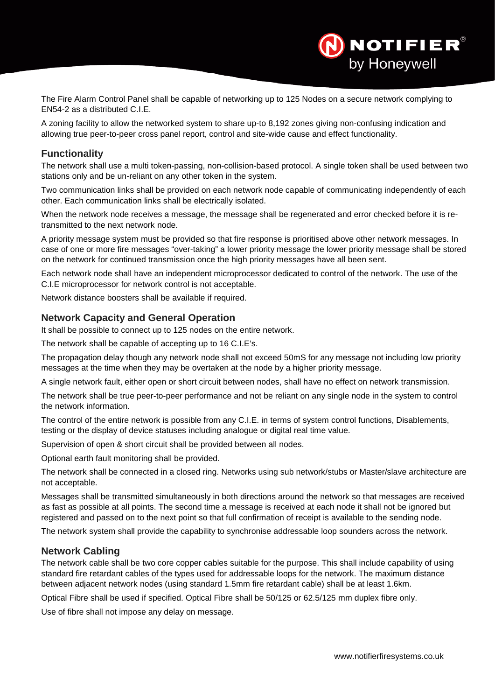The Fire Alarm Control Panel shall be capable of networking up to 125 Nodes on a secure network complying to EN54-2 as a distributed C.I.E.

A zoning facility to allow the networked system to share up-to 8,192 zones giving non-confusing indication and allowing true peer-to-peer cross panel report, control and site-wide cause and effect functionality.

## **Functionality**

The network shall use a multi token-passing, non-collision-based protocol. A single token shall be used between two stations only and be un-reliant on any other token in the system.

Two communication links shall be provided on each network node capable of communicating independently of each other. Each communication links shall be electrically isolated.

When the network node receives a message, the message shall be regenerated and error checked before it is retransmitted to the next network node.

A priority message system must be provided so that fire response is prioritised above other network messages. In case of one or more fire messages "over-taking" a lower priority message the lower priority message shall be stored on the network for continued transmission once the high priority messages have all been sent.

Each network node shall have an independent microprocessor dedicated to control of the network. The use of the C.I.E microprocessor for network control is not acceptable.

Network distance boosters shall be available if required.

#### **Network Capacity and General Operation**

It shall be possible to connect up to 125 nodes on the entire network.

The network shall be capable of accepting up to 16 C.I.E's.

The propagation delay though any network node shall not exceed 50mS for any message not including low priority messages at the time when they may be overtaken at the node by a higher priority message.

A single network fault, either open or short circuit between nodes, shall have no effect on network transmission.

The network shall be true peer-to-peer performance and not be reliant on any single node in the system to control the network information.

The control of the entire network is possible from any C.I.E. in terms of system control functions, Disablements, testing or the display of device statuses including analogue or digital real time value.

Supervision of open & short circuit shall be provided between all nodes.

Optional earth fault monitoring shall be provided.

The network shall be connected in a closed ring. Networks using sub network/stubs or Master/slave architecture are not acceptable.

Messages shall be transmitted simultaneously in both directions around the network so that messages are received as fast as possible at all points. The second time a message is received at each node it shall not be ignored but registered and passed on to the next point so that full confirmation of receipt is available to the sending node.

The network system shall provide the capability to synchronise addressable loop sounders across the network.

#### **Network Cabling**

The network cable shall be two core copper cables suitable for the purpose. This shall include capability of using standard fire retardant cables of the types used for addressable loops for the network. The maximum distance between adjacent network nodes (using standard 1.5mm fire retardant cable) shall be at least 1.6km.

Optical Fibre shall be used if specified. Optical Fibre shall be 50/125 or 62.5/125 mm duplex fibre only.

Use of fibre shall not impose any delay on message.

**NOTIFIER**®

by Honeywell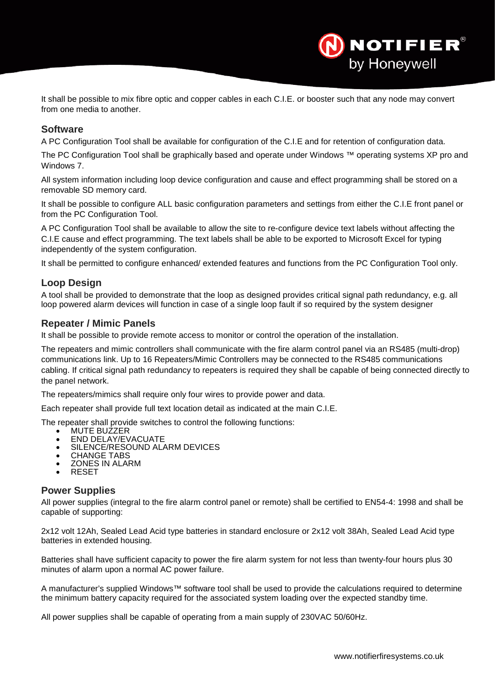It shall be possible to mix fibre optic and copper cables in each C.I.E. or booster such that any node may convert from one media to another.

#### **Software**

A PC Configuration Tool shall be available for configuration of the C.I.E and for retention of configuration data.

The PC Configuration Tool shall be graphically based and operate under Windows ™ operating systems XP pro and Windows 7.

All system information including loop device configuration and cause and effect programming shall be stored on a removable SD memory card.

It shall be possible to configure ALL basic configuration parameters and settings from either the C.I.E front panel or from the PC Configuration Tool.

A PC Configuration Tool shall be available to allow the site to re-configure device text labels without affecting the C.I.E cause and effect programming. The text labels shall be able to be exported to Microsoft Excel for typing independently of the system configuration.

It shall be permitted to configure enhanced/ extended features and functions from the PC Configuration Tool only.

## **Loop Design**

A tool shall be provided to demonstrate that the loop as designed provides critical signal path redundancy, e.g. all loop powered alarm devices will function in case of a single loop fault if so required by the system designer

#### **Repeater / Mimic Panels**

It shall be possible to provide remote access to monitor or control the operation of the installation.

The repeaters and mimic controllers shall communicate with the fire alarm control panel via an RS485 (multi-drop) communications link. Up to 16 Repeaters/Mimic Controllers may be connected to the RS485 communications cabling. If critical signal path redundancy to repeaters is required they shall be capable of being connected directly to the panel network.

The repeaters/mimics shall require only four wires to provide power and data.

Each repeater shall provide full text location detail as indicated at the main C.I.E.

The repeater shall provide switches to control the following functions:<br>• MUTE BUZZER

- 
- 
- MUTE BUZZER<br>• END DELAY/EVACUATE<br>• SILENCE/RESOUND ALARM DEVICES<br>• CHANGE TABS<br>• ZONES IN ALARM<br>• RESET
- 
- 
- RESET

#### **Power Supplies**

All power supplies (integral to the fire alarm control panel or remote) shall be certified to EN54-4: 1998 and shall be capable of supporting:

2x12 volt 12Ah, Sealed Lead Acid type batteries in standard enclosure or 2x12 volt 38Ah, Sealed Lead Acid type batteries in extended housing.

Batteries shall have sufficient capacity to power the fire alarm system for not less than twenty-four hours plus 30 minutes of alarm upon a normal AC power failure.

A manufacturer's supplied Windows™ software tool shall be used to provide the calculations required to determine the minimum battery capacity required for the associated system loading over the expected standby time.

All power supplies shall be capable of operating from a main supply of 230VAC 50/60Hz.

**NOTIFIER®** 

by Honeywell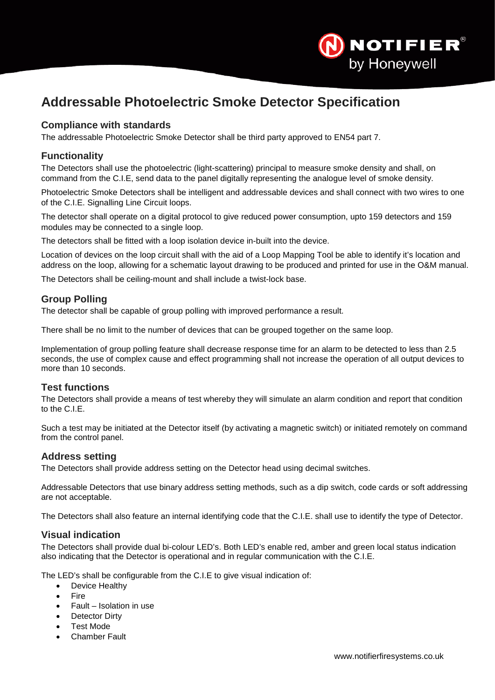

# <span id="page-8-0"></span>**Addressable Photoelectric Smoke Detector Specification**

## **Compliance with standards**

The addressable Photoelectric Smoke Detector shall be third party approved to EN54 part 7.

## **Functionality**

The Detectors shall use the photoelectric (light-scattering) principal to measure smoke density and shall, on command from the C.I.E, send data to the panel digitally representing the analogue level of smoke density.

Photoelectric Smoke Detectors shall be intelligent and addressable devices and shall connect with two wires to one of the C.I.E. Signalling Line Circuit loops.

The detector shall operate on a digital protocol to give reduced power consumption, upto 159 detectors and 159 modules may be connected to a single loop.

The detectors shall be fitted with a loop isolation device in-built into the device.

Location of devices on the loop circuit shall with the aid of a Loop Mapping Tool be able to identify it's location and address on the loop, allowing for a schematic layout drawing to be produced and printed for use in the O&M manual.

The Detectors shall be ceiling-mount and shall include a twist-lock base.

## **Group Polling**

The detector shall be capable of group polling with improved performance a result.

There shall be no limit to the number of devices that can be grouped together on the same loop.

Implementation of group polling feature shall decrease response time for an alarm to be detected to less than 2.5 seconds, the use of complex cause and effect programming shall not increase the operation of all output devices to more than 10 seconds.

## **Test functions**

The Detectors shall provide a means of test whereby they will simulate an alarm condition and report that condition to the C.I.E.

Such a test may be initiated at the Detector itself (by activating a magnetic switch) or initiated remotely on command from the control panel.

## **Address setting**

The Detectors shall provide address setting on the Detector head using decimal switches.

Addressable Detectors that use binary address setting methods, such as a dip switch, code cards or soft addressing are not acceptable.

The Detectors shall also feature an internal identifying code that the C.I.E. shall use to identify the type of Detector.

## **Visual indication**

The Detectors shall provide dual bi-colour LED's. Both LED's enable red, amber and green local status indication also indicating that the Detector is operational and in regular communication with the C.I.E.

The LED's shall be configurable from the C.I.E to give visual indication of:

- Device Healthy
- Fire
- Fault Isolation in use
- **Detector Dirty**
- Test Mode
- **Chamber Fault**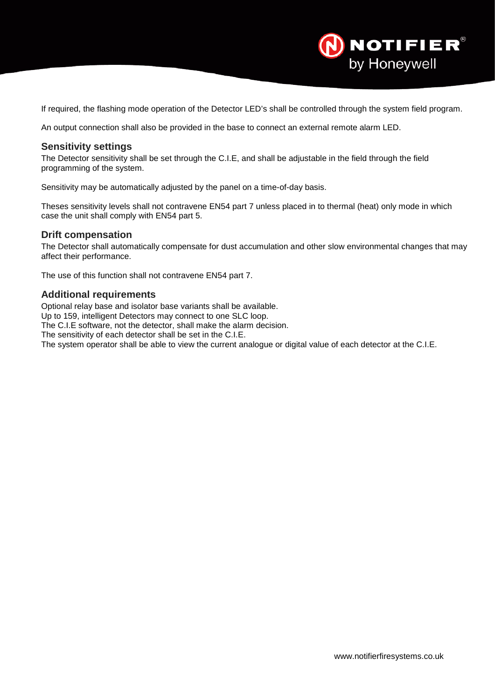

If required, the flashing mode operation of the Detector LED's shall be controlled through the system field program.

An output connection shall also be provided in the base to connect an external remote alarm LED.

#### **Sensitivity settings**

The Detector sensitivity shall be set through the C.I.E, and shall be adjustable in the field through the field programming of the system.

Sensitivity may be automatically adjusted by the panel on a time-of-day basis.

Theses sensitivity levels shall not contravene EN54 part 7 unless placed in to thermal (heat) only mode in which case the unit shall comply with EN54 part 5.

#### **Drift compensation**

The Detector shall automatically compensate for dust accumulation and other slow environmental changes that may affect their performance.

The use of this function shall not contravene EN54 part 7.

#### **Additional requirements**

Optional relay base and isolator base variants shall be available.

Up to 159, intelligent Detectors may connect to one SLC loop.

The C.I.E software, not the detector, shall make the alarm decision.

The sensitivity of each detector shall be set in the C.I.E.

The system operator shall be able to view the current analogue or digital value of each detector at the C.I.E.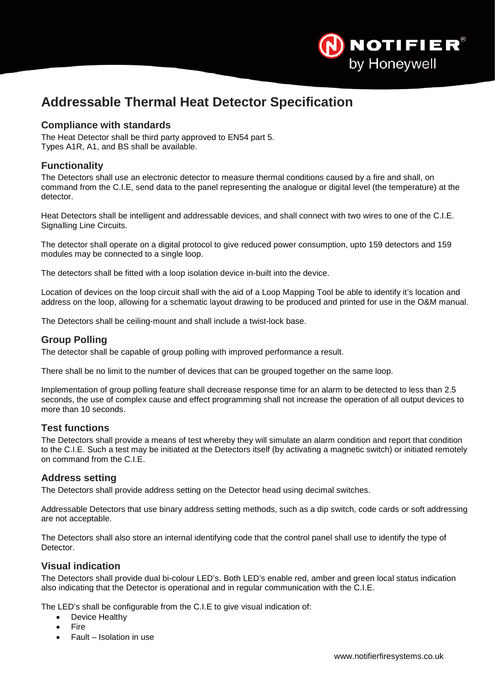

# <span id="page-10-0"></span>**Addressable Thermal Heat Detector Specification**

## **Compliance with standards**

The Heat Detector shall be third party approved to EN54 part 5. Types A1R, A1, and BS shall be available.

## **Functionality**

The Detectors shall use an electronic detector to measure thermal conditions caused by a fire and shall, on command from the C.I.E, send data to the panel representing the analogue or digital level (the temperature) at the detector.

Heat Detectors shall be intelligent and addressable devices, and shall connect with two wires to one of the C.I.E. Signalling Line Circuits.

The detector shall operate on a digital protocol to give reduced power consumption, upto 159 detectors and 159 modules may be connected to a single loop.

The detectors shall be fitted with a loop isolation device in-built into the device.

Location of devices on the loop circuit shall with the aid of a Loop Mapping Tool be able to identify it's location and address on the loop, allowing for a schematic layout drawing to be produced and printed for use in the O&M manual.

The Detectors shall be ceiling-mount and shall include a twist-lock base.

#### **Group Polling**

The detector shall be capable of group polling with improved performance a result.

There shall be no limit to the number of devices that can be grouped together on the same loop.

Implementation of group polling feature shall decrease response time for an alarm to be detected to less than 2.5 seconds, the use of complex cause and effect programming shall not increase the operation of all output devices to more than 10 seconds.

## **Test functions**

The Detectors shall provide a means of test whereby they will simulate an alarm condition and report that condition to the C.I.E. Such a test may be initiated at the Detectors itself (by activating a magnetic switch) or initiated remotely on command from the C.I.E.

## **Address setting**

The Detectors shall provide address setting on the Detector head using decimal switches.

Addressable Detectors that use binary address setting methods, such as a dip switch, code cards or soft addressing are not acceptable.

The Detectors shall also store an internal identifying code that the control panel shall use to identify the type of Detector.

#### **Visual indication**

The Detectors shall provide dual bi-colour LED's. Both LED's enable red, amber and green local status indication also indicating that the Detector is operational and in regular communication with the C.I.E.

The LED's shall be configurable from the C.I.E to give visual indication of:

- Device Healthy
- Fire
- Fault Isolation in use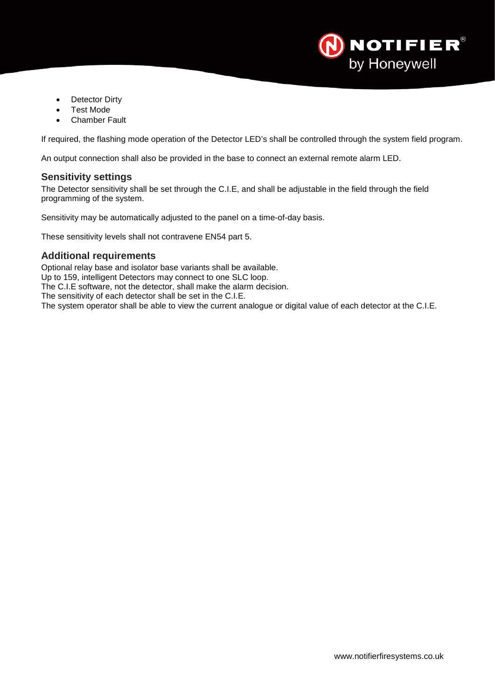

- Detector Dirty
- **Test Mode**
- **Chamber Fault**

If required, the flashing mode operation of the Detector LED's shall be controlled through the system field program.

An output connection shall also be provided in the base to connect an external remote alarm LED.

#### **Sensitivity settings**

The Detector sensitivity shall be set through the C.I.E, and shall be adjustable in the field through the field programming of the system.

Sensitivity may be automatically adjusted to the panel on a time-of-day basis.

These sensitivity levels shall not contravene EN54 part 5.

## **Additional requirements**

Optional relay base and isolator base variants shall be available. Up to 159, intelligent Detectors may connect to one SLC loop. The C.I.E software, not the detector, shall make the alarm decision. The sensitivity of each detector shall be set in the C.I.E. The system operator shall be able to view the current analogue or digital value of each detector at the C.I.E.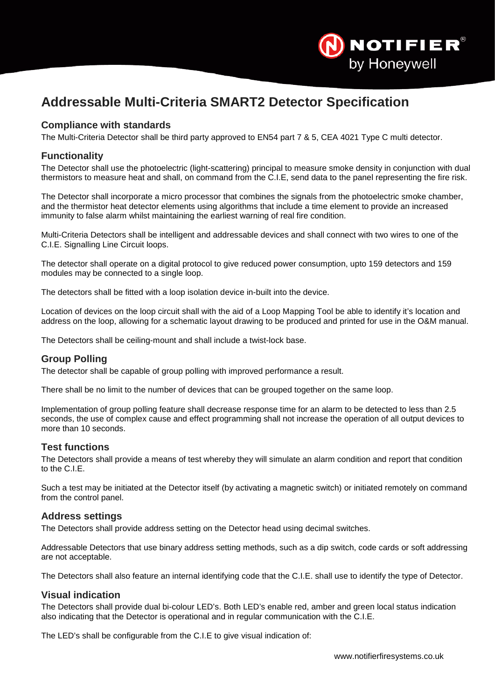

# <span id="page-12-0"></span>**Addressable Multi-Criteria SMART2 Detector Specification**

## **Compliance with standards**

The Multi-Criteria Detector shall be third party approved to EN54 part 7 & 5, CEA 4021 Type C multi detector.

#### **Functionality**

The Detector shall use the photoelectric (light-scattering) principal to measure smoke density in conjunction with dual thermistors to measure heat and shall, on command from the C.I.E, send data to the panel representing the fire risk.

The Detector shall incorporate a micro processor that combines the signals from the photoelectric smoke chamber, and the thermistor heat detector elements using algorithms that include a time element to provide an increased immunity to false alarm whilst maintaining the earliest warning of real fire condition.

Multi-Criteria Detectors shall be intelligent and addressable devices and shall connect with two wires to one of the C.I.E. Signalling Line Circuit loops.

The detector shall operate on a digital protocol to give reduced power consumption, upto 159 detectors and 159 modules may be connected to a single loop.

The detectors shall be fitted with a loop isolation device in-built into the device.

Location of devices on the loop circuit shall with the aid of a Loop Mapping Tool be able to identify it's location and address on the loop, allowing for a schematic layout drawing to be produced and printed for use in the O&M manual.

The Detectors shall be ceiling-mount and shall include a twist-lock base.

## **Group Polling**

The detector shall be capable of group polling with improved performance a result.

There shall be no limit to the number of devices that can be grouped together on the same loop.

Implementation of group polling feature shall decrease response time for an alarm to be detected to less than 2.5 seconds, the use of complex cause and effect programming shall not increase the operation of all output devices to more than 10 seconds.

#### **Test functions**

The Detectors shall provide a means of test whereby they will simulate an alarm condition and report that condition to the C.I.E.

Such a test may be initiated at the Detector itself (by activating a magnetic switch) or initiated remotely on command from the control panel.

#### **Address settings**

The Detectors shall provide address setting on the Detector head using decimal switches.

Addressable Detectors that use binary address setting methods, such as a dip switch, code cards or soft addressing are not acceptable.

The Detectors shall also feature an internal identifying code that the C.I.E. shall use to identify the type of Detector.

#### **Visual indication**

The Detectors shall provide dual bi-colour LED's. Both LED's enable red, amber and green local status indication also indicating that the Detector is operational and in regular communication with the C.I.E.

The LED's shall be configurable from the C.I.E to give visual indication of: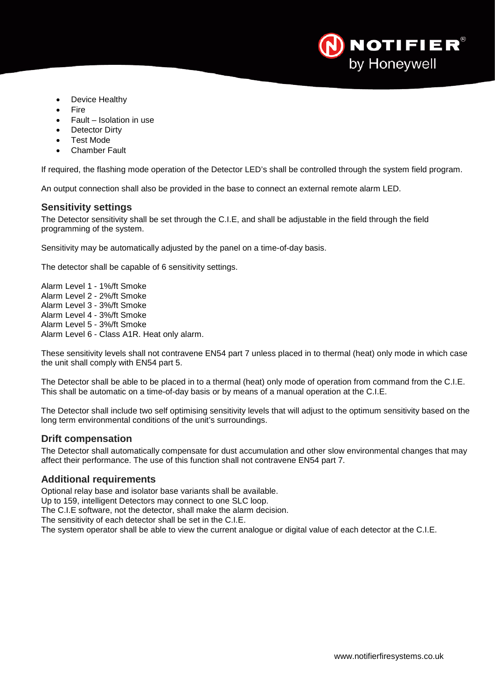

- Device Healthy
- Fire
- Fault Isolation in use
- **Detector Dirty**
- **Test Mode**
- Chamber Fault

If required, the flashing mode operation of the Detector LED's shall be controlled through the system field program.

An output connection shall also be provided in the base to connect an external remote alarm LED.

#### **Sensitivity settings**

The Detector sensitivity shall be set through the C.I.E, and shall be adjustable in the field through the field programming of the system.

Sensitivity may be automatically adjusted by the panel on a time-of-day basis.

The detector shall be capable of 6 sensitivity settings.

Alarm Level 1 - 1%/ft Smoke Alarm Level 2 - 2%/ft Smoke Alarm Level 3 - 3%/ft Smoke Alarm Level 4 - 3%/ft Smoke Alarm Level 5 - 3%/ft Smoke Alarm Level 6 - Class A1R. Heat only alarm.

These sensitivity levels shall not contravene EN54 part 7 unless placed in to thermal (heat) only mode in which case the unit shall comply with EN54 part 5.

The Detector shall be able to be placed in to a thermal (heat) only mode of operation from command from the C.I.E. This shall be automatic on a time-of-day basis or by means of a manual operation at the C.I.E.

The Detector shall include two self optimising sensitivity levels that will adjust to the optimum sensitivity based on the long term environmental conditions of the unit's surroundings.

#### **Drift compensation**

The Detector shall automatically compensate for dust accumulation and other slow environmental changes that may affect their performance. The use of this function shall not contravene EN54 part 7.

#### **Additional requirements**

Optional relay base and isolator base variants shall be available.

Up to 159, intelligent Detectors may connect to one SLC loop.

The C.I.E software, not the detector, shall make the alarm decision.

The sensitivity of each detector shall be set in the C.I.E.

The system operator shall be able to view the current analogue or digital value of each detector at the C.I.E.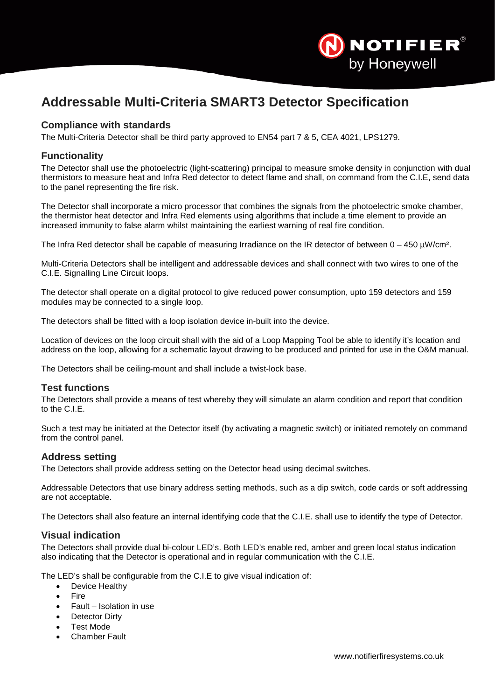

# <span id="page-14-0"></span>**Addressable Multi-Criteria SMART3 Detector Specification**

## **Compliance with standards**

The Multi-Criteria Detector shall be third party approved to EN54 part 7 & 5, CEA 4021, LPS1279.

#### **Functionality**

The Detector shall use the photoelectric (light-scattering) principal to measure smoke density in conjunction with dual thermistors to measure heat and Infra Red detector to detect flame and shall, on command from the C.I.E, send data to the panel representing the fire risk.

The Detector shall incorporate a micro processor that combines the signals from the photoelectric smoke chamber, the thermistor heat detector and Infra Red elements using algorithms that include a time element to provide an increased immunity to false alarm whilst maintaining the earliest warning of real fire condition.

The Infra Red detector shall be capable of measuring Irradiance on the IR detector of between  $0 - 450 \mu W/cm^2$ .

Multi-Criteria Detectors shall be intelligent and addressable devices and shall connect with two wires to one of the C.I.E. Signalling Line Circuit loops.

The detector shall operate on a digital protocol to give reduced power consumption, upto 159 detectors and 159 modules may be connected to a single loop.

The detectors shall be fitted with a loop isolation device in-built into the device.

Location of devices on the loop circuit shall with the aid of a Loop Mapping Tool be able to identify it's location and address on the loop, allowing for a schematic layout drawing to be produced and printed for use in the O&M manual.

The Detectors shall be ceiling-mount and shall include a twist-lock base.

#### **Test functions**

The Detectors shall provide a means of test whereby they will simulate an alarm condition and report that condition to the C.I.E.

Such a test may be initiated at the Detector itself (by activating a magnetic switch) or initiated remotely on command from the control panel.

#### **Address setting**

The Detectors shall provide address setting on the Detector head using decimal switches.

Addressable Detectors that use binary address setting methods, such as a dip switch, code cards or soft addressing are not acceptable.

The Detectors shall also feature an internal identifying code that the C.I.E. shall use to identify the type of Detector.

#### **Visual indication**

The Detectors shall provide dual bi-colour LED's. Both LED's enable red, amber and green local status indication also indicating that the Detector is operational and in regular communication with the C.I.E.

The LED's shall be configurable from the C.I.E to give visual indication of:

- Device Healthy
- Fire
- Fault Isolation in use
- **Detector Dirty**
- Test Mode
- **Chamber Fault**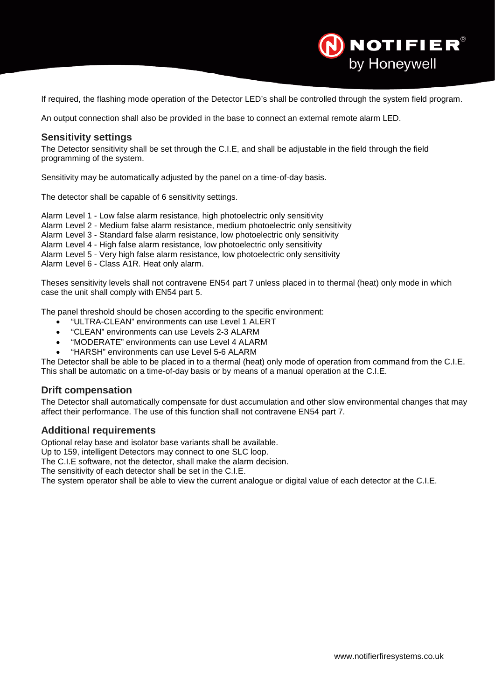If required, the flashing mode operation of the Detector LED's shall be controlled through the system field program.

An output connection shall also be provided in the base to connect an external remote alarm LED.

#### **Sensitivity settings**

The Detector sensitivity shall be set through the C.I.E, and shall be adjustable in the field through the field programming of the system.

Sensitivity may be automatically adjusted by the panel on a time-of-day basis.

The detector shall be capable of 6 sensitivity settings.

Alarm Level 1 - Low false alarm resistance, high photoelectric only sensitivity Alarm Level 2 - Medium false alarm resistance, medium photoelectric only sensitivity

Alarm Level 3 - Standard false alarm resistance, low photoelectric only sensitivity

Alarm Level 4 - High false alarm resistance, low photoelectric only sensitivity

Alarm Level 5 - Very high false alarm resistance, low photoelectric only sensitivity

Alarm Level 6 - Class A1R. Heat only alarm.

Theses sensitivity levels shall not contravene EN54 part 7 unless placed in to thermal (heat) only mode in which case the unit shall comply with EN54 part 5.

The panel threshold should be chosen according to the specific environment:

- "ULTRA-CLEAN" environments can use Level 1 ALERT
- "CLEAN" environments can use Levels 2-3 ALARM
- "MODERATE" environments can use Level 4 ALARM
- "HARSH" environments can use Level 5-6 ALARM

The Detector shall be able to be placed in to a thermal (heat) only mode of operation from command from the C.I.E. This shall be automatic on a time-of-day basis or by means of a manual operation at the C.I.E.

#### **Drift compensation**

The Detector shall automatically compensate for dust accumulation and other slow environmental changes that may affect their performance. The use of this function shall not contravene EN54 part 7.

#### **Additional requirements**

Optional relay base and isolator base variants shall be available.

Up to 159, intelligent Detectors may connect to one SLC loop.

The C.I.E software, not the detector, shall make the alarm decision.

The sensitivity of each detector shall be set in the C.I.E.

The system operator shall be able to view the current analogue or digital value of each detector at the C.I.E.

**NOTIFIER®** 

by Honeywell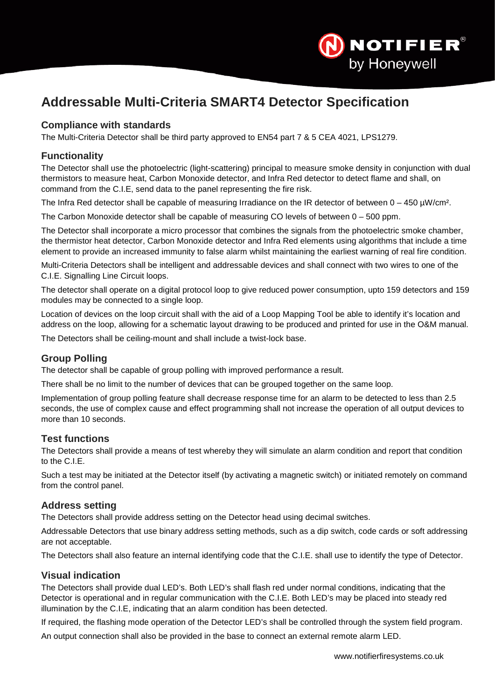

# <span id="page-16-0"></span>**Addressable Multi-Criteria SMART4 Detector Specification**

## **Compliance with standards**

The Multi-Criteria Detector shall be third party approved to EN54 part 7 & 5 CEA 4021, LPS1279.

## **Functionality**

The Detector shall use the photoelectric (light-scattering) principal to measure smoke density in conjunction with dual thermistors to measure heat, Carbon Monoxide detector, and Infra Red detector to detect flame and shall, on command from the C.I.E, send data to the panel representing the fire risk.

The Infra Red detector shall be capable of measuring Irradiance on the IR detector of between  $0 - 450 \mu W/cm^2$ .

The Carbon Monoxide detector shall be capable of measuring CO levels of between 0 – 500 ppm.

The Detector shall incorporate a micro processor that combines the signals from the photoelectric smoke chamber, the thermistor heat detector, Carbon Monoxide detector and Infra Red elements using algorithms that include a time element to provide an increased immunity to false alarm whilst maintaining the earliest warning of real fire condition.

Multi-Criteria Detectors shall be intelligent and addressable devices and shall connect with two wires to one of the C.I.E. Signalling Line Circuit loops.

The detector shall operate on a digital protocol loop to give reduced power consumption, upto 159 detectors and 159 modules may be connected to a single loop.

Location of devices on the loop circuit shall with the aid of a Loop Mapping Tool be able to identify it's location and address on the loop, allowing for a schematic layout drawing to be produced and printed for use in the O&M manual.

The Detectors shall be ceiling-mount and shall include a twist-lock base.

## **Group Polling**

The detector shall be capable of group polling with improved performance a result.

There shall be no limit to the number of devices that can be grouped together on the same loop.

Implementation of group polling feature shall decrease response time for an alarm to be detected to less than 2.5 seconds, the use of complex cause and effect programming shall not increase the operation of all output devices to more than 10 seconds.

## **Test functions**

The Detectors shall provide a means of test whereby they will simulate an alarm condition and report that condition to the C.I.E.

Such a test may be initiated at the Detector itself (by activating a magnetic switch) or initiated remotely on command from the control panel.

## **Address setting**

The Detectors shall provide address setting on the Detector head using decimal switches.

Addressable Detectors that use binary address setting methods, such as a dip switch, code cards or soft addressing are not acceptable.

The Detectors shall also feature an internal identifying code that the C.I.E. shall use to identify the type of Detector.

## **Visual indication**

The Detectors shall provide dual LED's. Both LED's shall flash red under normal conditions, indicating that the Detector is operational and in regular communication with the C.I.E. Both LED's may be placed into steady red illumination by the C.I.E, indicating that an alarm condition has been detected.

If required, the flashing mode operation of the Detector LED's shall be controlled through the system field program.

An output connection shall also be provided in the base to connect an external remote alarm LED.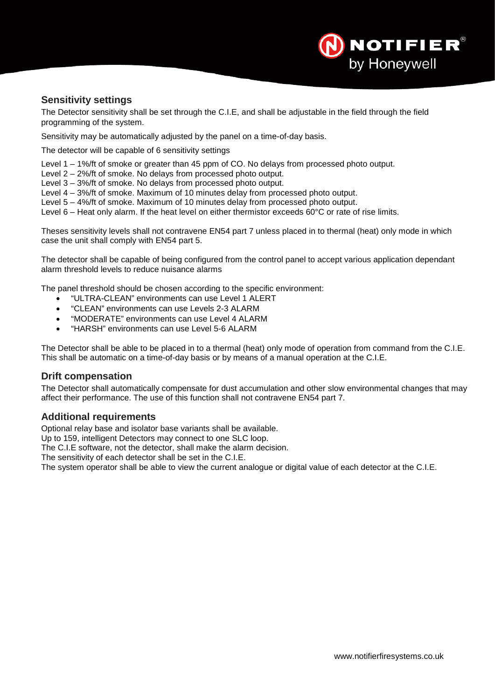

## **Sensitivity settings**

The Detector sensitivity shall be set through the C.I.E, and shall be adjustable in the field through the field programming of the system.

Sensitivity may be automatically adjusted by the panel on a time-of-day basis.

The detector will be capable of 6 sensitivity settings

Level 1 – 1%/ft of smoke or greater than 45 ppm of CO. No delays from processed photo output.

Level 2 – 2%/ft of smoke. No delays from processed photo output.

Level 3 – 3%/ft of smoke. No delays from processed photo output.

Level 4 – 3%/ft of smoke. Maximum of 10 minutes delay from processed photo output.

Level 5 – 4%/ft of smoke. Maximum of 10 minutes delay from processed photo output.

Level 6 – Heat only alarm. If the heat level on either thermistor exceeds 60°C or rate of rise limits.

Theses sensitivity levels shall not contravene EN54 part 7 unless placed in to thermal (heat) only mode in which case the unit shall comply with EN54 part 5.

The detector shall be capable of being configured from the control panel to accept various application dependant alarm threshold levels to reduce nuisance alarms

The panel threshold should be chosen according to the specific environment:

- "ULTRA-CLEAN" environments can use Level 1 ALERT
- "CLEAN" environments can use Levels 2-3 ALARM
- "MODERATE" environments can use Level 4 ALARM
- "HARSH" environments can use Level 5-6 ALARM

The Detector shall be able to be placed in to a thermal (heat) only mode of operation from command from the C.I.E. This shall be automatic on a time-of-day basis or by means of a manual operation at the C.I.E.

#### **Drift compensation**

The Detector shall automatically compensate for dust accumulation and other slow environmental changes that may affect their performance. The use of this function shall not contravene EN54 part 7.

#### **Additional requirements**

Optional relay base and isolator base variants shall be available.

Up to 159, intelligent Detectors may connect to one SLC loop.

The C.I.E software, not the detector, shall make the alarm decision.

The sensitivity of each detector shall be set in the C.I.E.

The system operator shall be able to view the current analogue or digital value of each detector at the C.I.E.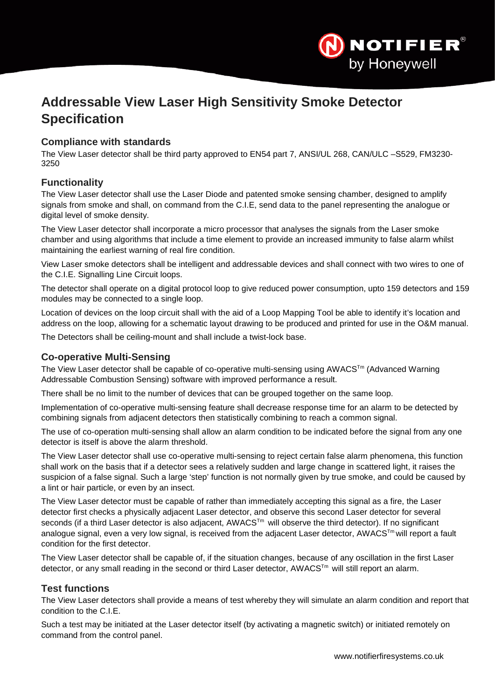

# <span id="page-18-0"></span>**Addressable View Laser High Sensitivity Smoke Detector Specification**

## **Compliance with standards**

The View Laser detector shall be third party approved to EN54 part 7, ANSI/UL 268, CAN/ULC –S529, FM3230- 3250

## **Functionality**

The View Laser detector shall use the Laser Diode and patented smoke sensing chamber, designed to amplify signals from smoke and shall, on command from the C.I.E, send data to the panel representing the analogue or digital level of smoke density.

The View Laser detector shall incorporate a micro processor that analyses the signals from the Laser smoke chamber and using algorithms that include a time element to provide an increased immunity to false alarm whilst maintaining the earliest warning of real fire condition.

View Laser smoke detectors shall be intelligent and addressable devices and shall connect with two wires to one of the C.I.E. Signalling Line Circuit loops.

The detector shall operate on a digital protocol loop to give reduced power consumption, upto 159 detectors and 159 modules may be connected to a single loop.

Location of devices on the loop circuit shall with the aid of a Loop Mapping Tool be able to identify it's location and address on the loop, allowing for a schematic layout drawing to be produced and printed for use in the O&M manual.

The Detectors shall be ceiling-mount and shall include a twist-lock base.

## **Co-operative Multi-Sensing**

The View Laser detector shall be capable of co-operative multi-sensing using AWACS<sup>Tm</sup> (Advanced Warning Addressable Combustion Sensing) software with improved performance a result.

There shall be no limit to the number of devices that can be grouped together on the same loop.

Implementation of co-operative multi-sensing feature shall decrease response time for an alarm to be detected by combining signals from adjacent detectors then statistically combining to reach a common signal.

The use of co-operation multi-sensing shall allow an alarm condition to be indicated before the signal from any one detector is itself is above the alarm threshold.

The View Laser detector shall use co-operative multi-sensing to reject certain false alarm phenomena, this function shall work on the basis that if a detector sees a relatively sudden and large change in scattered light, it raises the suspicion of a false signal. Such a large 'step' function is not normally given by true smoke, and could be caused by a lint or hair particle, or even by an insect.

The View Laser detector must be capable of rather than immediately accepting this signal as a fire, the Laser detector first checks a physically adjacent Laser detector, and observe this second Laser detector for several seconds (if a third Laser detector is also adjacent, AWACS™ will observe the third detector). If no significant analogue signal, even a very low signal, is received from the adjacent Laser detector, AWACS<sup>Tm</sup> will report a fault condition for the first detector.

The View Laser detector shall be capable of, if the situation changes, because of any oscillation in the first Laser detector, or any small reading in the second or third Laser detector, AWACS<sup>Tm</sup> will still report an alarm.

## **Test functions**

The View Laser detectors shall provide a means of test whereby they will simulate an alarm condition and report that condition to the C.I.E.

Such a test may be initiated at the Laser detector itself (by activating a magnetic switch) or initiated remotely on command from the control panel.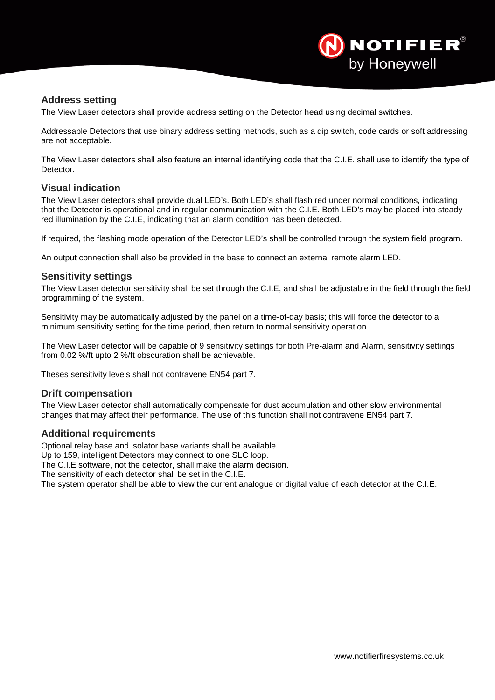

## **Address setting**

The View Laser detectors shall provide address setting on the Detector head using decimal switches.

Addressable Detectors that use binary address setting methods, such as a dip switch, code cards or soft addressing are not acceptable.

The View Laser detectors shall also feature an internal identifying code that the C.I.E. shall use to identify the type of **Detector** 

#### **Visual indication**

The View Laser detectors shall provide dual LED's. Both LED's shall flash red under normal conditions, indicating that the Detector is operational and in regular communication with the C.I.E. Both LED's may be placed into steady red illumination by the C.I.E, indicating that an alarm condition has been detected.

If required, the flashing mode operation of the Detector LED's shall be controlled through the system field program.

An output connection shall also be provided in the base to connect an external remote alarm LED.

#### **Sensitivity settings**

The View Laser detector sensitivity shall be set through the C.I.E, and shall be adjustable in the field through the field programming of the system.

Sensitivity may be automatically adjusted by the panel on a time-of-day basis; this will force the detector to a minimum sensitivity setting for the time period, then return to normal sensitivity operation.

The View Laser detector will be capable of 9 sensitivity settings for both Pre-alarm and Alarm, sensitivity settings from 0.02 %/ft upto 2 %/ft obscuration shall be achievable.

Theses sensitivity levels shall not contravene EN54 part 7.

#### **Drift compensation**

The View Laser detector shall automatically compensate for dust accumulation and other slow environmental changes that may affect their performance. The use of this function shall not contravene EN54 part 7.

#### **Additional requirements**

Optional relay base and isolator base variants shall be available.

Up to 159, intelligent Detectors may connect to one SLC loop.

The C.I.E software, not the detector, shall make the alarm decision.

The sensitivity of each detector shall be set in the C.I.E.

The system operator shall be able to view the current analogue or digital value of each detector at the C.I.E.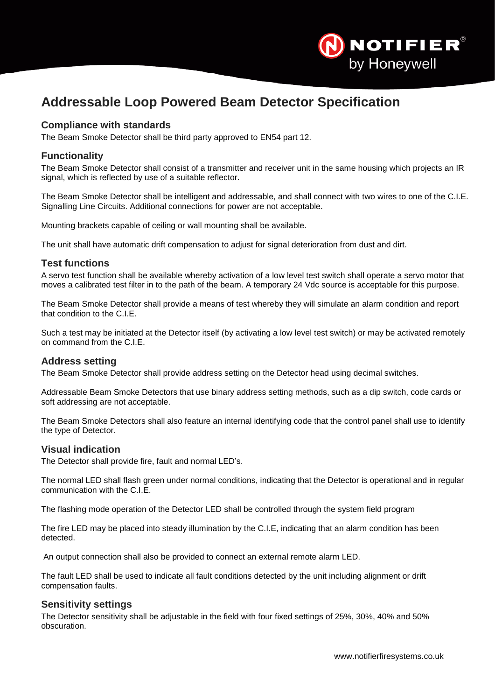

# <span id="page-20-0"></span>**Addressable Loop Powered Beam Detector Specification**

## **Compliance with standards**

The Beam Smoke Detector shall be third party approved to EN54 part 12.

#### **Functionality**

The Beam Smoke Detector shall consist of a transmitter and receiver unit in the same housing which projects an IR signal, which is reflected by use of a suitable reflector.

The Beam Smoke Detector shall be intelligent and addressable, and shall connect with two wires to one of the C.I.E. Signalling Line Circuits. Additional connections for power are not acceptable.

Mounting brackets capable of ceiling or wall mounting shall be available.

The unit shall have automatic drift compensation to adjust for signal deterioration from dust and dirt.

#### **Test functions**

A servo test function shall be available whereby activation of a low level test switch shall operate a servo motor that moves a calibrated test filter in to the path of the beam. A temporary 24 Vdc source is acceptable for this purpose.

The Beam Smoke Detector shall provide a means of test whereby they will simulate an alarm condition and report that condition to the C.I.E.

Such a test may be initiated at the Detector itself (by activating a low level test switch) or may be activated remotely on command from the C.I.E.

#### **Address setting**

The Beam Smoke Detector shall provide address setting on the Detector head using decimal switches.

Addressable Beam Smoke Detectors that use binary address setting methods, such as a dip switch, code cards or soft addressing are not acceptable.

The Beam Smoke Detectors shall also feature an internal identifying code that the control panel shall use to identify the type of Detector.

#### **Visual indication**

The Detector shall provide fire, fault and normal LED's.

The normal LED shall flash green under normal conditions, indicating that the Detector is operational and in regular communication with the C.I.E.

The flashing mode operation of the Detector LED shall be controlled through the system field program

The fire LED may be placed into steady illumination by the C.I.E, indicating that an alarm condition has been detected.

An output connection shall also be provided to connect an external remote alarm LED.

The fault LED shall be used to indicate all fault conditions detected by the unit including alignment or drift compensation faults.

#### **Sensitivity settings**

The Detector sensitivity shall be adjustable in the field with four fixed settings of 25%, 30%, 40% and 50% obscuration.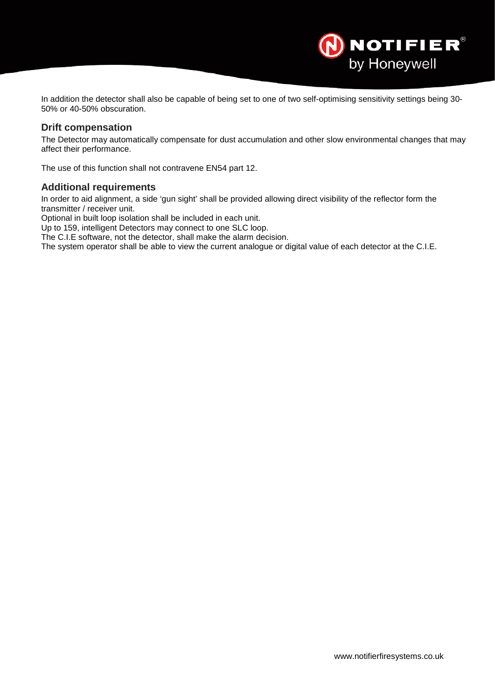In addition the detector shall also be capable of being set to one of two self-optimising sensitivity settings being 30- 50% or 40-50% obscuration.

#### **Drift compensation**

The Detector may automatically compensate for dust accumulation and other slow environmental changes that may affect their performance.

The use of this function shall not contravene EN54 part 12.

#### **Additional requirements**

In order to aid alignment, a side 'gun sight' shall be provided allowing direct visibility of the reflector form the transmitter / receiver unit.

Optional in built loop isolation shall be included in each unit.

Up to 159, intelligent Detectors may connect to one SLC loop.

The C.I.E software, not the detector, shall make the alarm decision.

The system operator shall be able to view the current analogue or digital value of each detector at the C.I.E.

NOTIFIER®

by Honeywell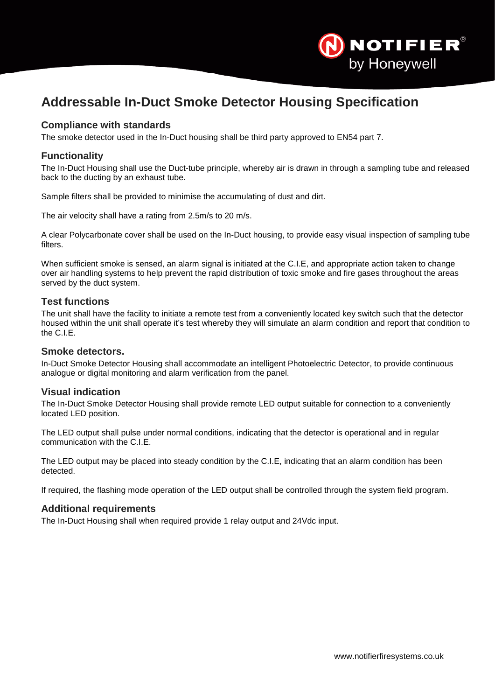

# <span id="page-22-0"></span>**Addressable In-Duct Smoke Detector Housing Specification**

#### **Compliance with standards**

The smoke detector used in the In-Duct housing shall be third party approved to EN54 part 7.

#### **Functionality**

The In-Duct Housing shall use the Duct-tube principle, whereby air is drawn in through a sampling tube and released back to the ducting by an exhaust tube.

Sample filters shall be provided to minimise the accumulating of dust and dirt.

The air velocity shall have a rating from 2.5m/s to 20 m/s.

A clear Polycarbonate cover shall be used on the In-Duct housing, to provide easy visual inspection of sampling tube filters.

When sufficient smoke is sensed, an alarm signal is initiated at the C.I.E, and appropriate action taken to change over air handling systems to help prevent the rapid distribution of toxic smoke and fire gases throughout the areas served by the duct system.

#### **Test functions**

The unit shall have the facility to initiate a remote test from a conveniently located key switch such that the detector housed within the unit shall operate it's test whereby they will simulate an alarm condition and report that condition to the C.I.E.

#### **Smoke detectors.**

In-Duct Smoke Detector Housing shall accommodate an intelligent Photoelectric Detector, to provide continuous analogue or digital monitoring and alarm verification from the panel.

#### **Visual indication**

The In-Duct Smoke Detector Housing shall provide remote LED output suitable for connection to a conveniently located LED position.

The LED output shall pulse under normal conditions, indicating that the detector is operational and in regular communication with the C.I.E.

The LED output may be placed into steady condition by the C.I.E, indicating that an alarm condition has been detected.

If required, the flashing mode operation of the LED output shall be controlled through the system field program.

#### **Additional requirements**

The In-Duct Housing shall when required provide 1 relay output and 24Vdc input.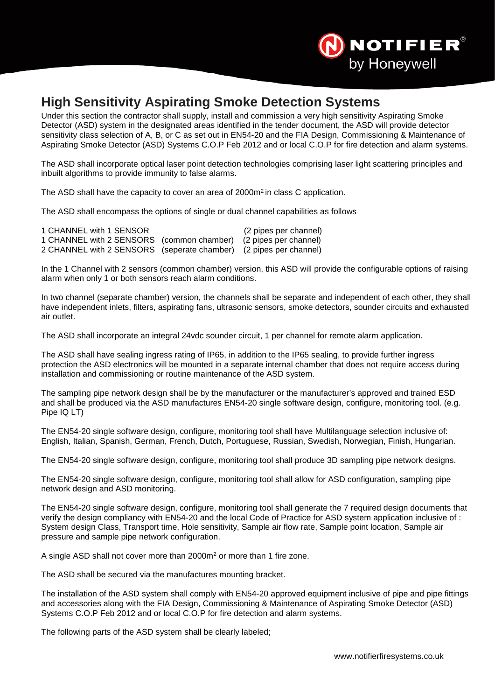

## <span id="page-23-0"></span>**High Sensitivity Aspirating Smoke Detection Systems**

Under this section the contractor shall supply, install and commission a very high sensitivity Aspirating Smoke Detector (ASD) system in the designated areas identified in the tender document, the ASD will provide detector sensitivity class selection of A, B, or C as set out in EN54-20 and the FIA Design, Commissioning & Maintenance of Aspirating Smoke Detector (ASD) Systems C.O.P Feb 2012 and or local C.O.P for fire detection and alarm systems.

The ASD shall incorporate optical laser point detection technologies comprising laser light scattering principles and inbuilt algorithms to provide immunity to false alarms.

The ASD shall have the capacity to cover an area of 2000m<sup>2</sup> in class C application.

The ASD shall encompass the options of single or dual channel capabilities as follows

| 1 CHANNEL with 1 SENSOR                                           | (2 pipes per channel) |
|-------------------------------------------------------------------|-----------------------|
| 1 CHANNEL with 2 SENSORS (common chamber) (2 pipes per channel)   |                       |
| 2 CHANNEL with 2 SENSORS (seperate chamber) (2 pipes per channel) |                       |

In the 1 Channel with 2 sensors (common chamber) version, this ASD will provide the configurable options of raising alarm when only 1 or both sensors reach alarm conditions.

In two channel (separate chamber) version, the channels shall be separate and independent of each other, they shall have independent inlets, filters, aspirating fans, ultrasonic sensors, smoke detectors, sounder circuits and exhausted air outlet.

The ASD shall incorporate an integral 24vdc sounder circuit, 1 per channel for remote alarm application.

The ASD shall have sealing ingress rating of IP65, in addition to the IP65 sealing, to provide further ingress protection the ASD electronics will be mounted in a separate internal chamber that does not require access during installation and commissioning or routine maintenance of the ASD system.

The sampling pipe network design shall be by the manufacturer or the manufacturer's approved and trained ESD and shall be produced via the ASD manufactures EN54-20 single software design, configure, monitoring tool. (e.g. Pipe IQ LT)

The EN54-20 single software design, configure, monitoring tool shall have Multilanguage selection inclusive of: English, Italian, Spanish, German, French, Dutch, Portuguese, Russian, Swedish, Norwegian, Finish, Hungarian.

The EN54-20 single software design, configure, monitoring tool shall produce 3D sampling pipe network designs.

The EN54-20 single software design, configure, monitoring tool shall allow for ASD configuration, sampling pipe network design and ASD monitoring.

The EN54-20 single software design, configure, monitoring tool shall generate the 7 required design documents that verify the design compliancy with EN54-20 and the local Code of Practice for ASD system application inclusive of : System design Class, Transport time, Hole sensitivity, Sample air flow rate, Sample point location, Sample air pressure and sample pipe network configuration.

A single ASD shall not cover more than 2000m2 or more than 1 fire zone.

The ASD shall be secured via the manufactures mounting bracket.

The installation of the ASD system shall comply with EN54-20 approved equipment inclusive of pipe and pipe fittings and accessories along with the FIA Design, Commissioning & Maintenance of Aspirating Smoke Detector (ASD) Systems C.O.P Feb 2012 and or local C.O.P for fire detection and alarm systems.

The following parts of the ASD system shall be clearly labeled;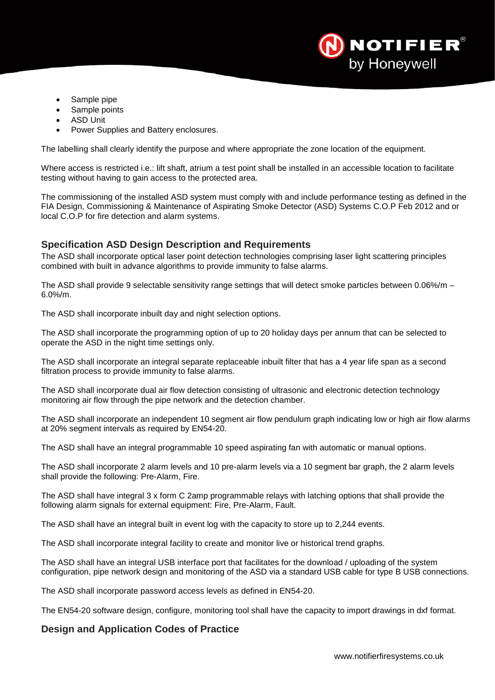

- Sample pipe
- Sample points
- **ASD Unit**
- Power Supplies and Battery enclosures.

The labelling shall clearly identify the purpose and where appropriate the zone location of the equipment.

Where access is restricted i.e.: lift shaft, atrium a test point shall be installed in an accessible location to facilitate testing without having to gain access to the protected area.

The commissioning of the installed ASD system must comply with and include performance testing as defined in the FIA Design, Commissioning & Maintenance of Aspirating Smoke Detector (ASD) Systems C.O.P Feb 2012 and or local C.O.P for fire detection and alarm systems.

## **Specification ASD Design Description and Requirements**

The ASD shall incorporate optical laser point detection technologies comprising laser light scattering principles combined with built in advance algorithms to provide immunity to false alarms.

The ASD shall provide 9 selectable sensitivity range settings that will detect smoke particles between 0.06%/m – 6.0%/m.

The ASD shall incorporate inbuilt day and night selection options.

The ASD shall incorporate the programming option of up to 20 holiday days per annum that can be selected to operate the ASD in the night time settings only.

The ASD shall incorporate an integral separate replaceable inbuilt filter that has a 4 year life span as a second filtration process to provide immunity to false alarms.

The ASD shall incorporate dual air flow detection consisting of ultrasonic and electronic detection technology monitoring air flow through the pipe network and the detection chamber.

The ASD shall incorporate an independent 10 segment air flow pendulum graph indicating low or high air flow alarms at 20% segment intervals as required by EN54-20.

The ASD shall have an integral programmable 10 speed aspirating fan with automatic or manual options.

The ASD shall incorporate 2 alarm levels and 10 pre-alarm levels via a 10 segment bar graph, the 2 alarm levels shall provide the following: Pre-Alarm, Fire.

The ASD shall have integral 3 x form C 2amp programmable relays with latching options that shall provide the following alarm signals for external equipment: Fire, Pre-Alarm, Fault.

The ASD shall have an integral built in event log with the capacity to store up to 2,244 events.

The ASD shall incorporate integral facility to create and monitor live or historical trend graphs.

The ASD shall have an integral USB interface port that facilitates for the download / uploading of the system configuration, pipe network design and monitoring of the ASD via a standard USB cable for type B USB connections.

The ASD shall incorporate password access levels as defined in EN54-20.

The EN54-20 software design, configure, monitoring tool shall have the capacity to import drawings in dxf format.

## **Design and Application Codes of Practice**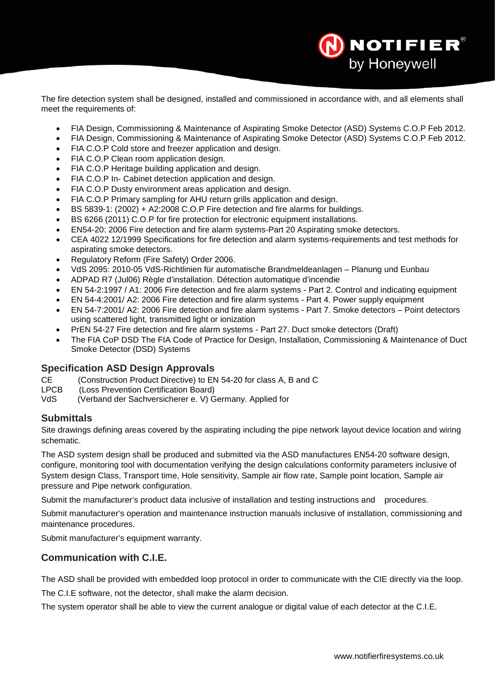The fire detection system shall be designed, installed and commissioned in accordance with, and all elements shall meet the requirements of:

- FIA Design, Commissioning & Maintenance of Aspirating Smoke Detector (ASD) Systems C.O.P Feb 2012.
- FIA Design, Commissioning & Maintenance of Aspirating Smoke Detector (ASD) Systems C.O.P Feb 2012.
- FIA C.O.P Cold store and freezer application and design.
- FIA C.O.P Clean room application design.
- FIA C.O.P Heritage building application and design.
- FIA C.O.P In- Cabinet detection application and design.
- FIA C.O.P Dusty environment areas application and design.
- FIA C.O.P Primary sampling for AHU return grills application and design.
- BS 5839-1: (2002) + A2:2008 C.O.P Fire detection and fire alarms for buildings.
- BS 6266 (2011) C.O.P for fire protection for electronic equipment installations.
- EN54-20: 2006 Fire detection and fire alarm systems-Part 20 Aspirating smoke detectors.
- CEA 4022 12/1999 Specifications for fire detection and alarm systems-requirements and test methods for aspirating smoke detectors.
- Regulatory Reform (Fire Safety) Order 2006.
- VdS 2095: 2010-05 VdS-Richtlinien für automatische Brandmeldeanlagen Planung und Eunbau
- ADPAD R7 (Jul06) Règle d'installation. Détection automatique d'incendie
- EN 54-2:1997 / A1: 2006 Fire detection and fire alarm systems Part 2. Control and indicating equipment
- EN 54-4:2001/ A2: 2006 Fire detection and fire alarm systems Part 4. Power supply equipment
- EN 54-7:2001/ A2: 2006 Fire detection and fire alarm systems Part 7. Smoke detectors Point detectors using scattered light, transmitted light or ionization
- PrEN 54-27 Fire detection and fire alarm systems Part 27. Duct smoke detectors (Draft)
- The FIA CoP DSD The FIA Code of Practice for Design, Installation, Commissioning & Maintenance of Duct Smoke Detector (DSD) Systems

#### **Specification ASD Design Approvals**

CE (Construction Product Directive) to EN 54-20 for class A, B and C

- LPCB (Loss Prevention Certification Board)<br>VdS (Verband der Sachversicherer e. V) G
- (Verband der Sachversicherer e. V) Germany. Applied for

## **Submittals**

Site drawings defining areas covered by the aspirating including the pipe network layout device location and wiring schematic.

The ASD system design shall be produced and submitted via the ASD manufactures EN54-20 software design, configure, monitoring tool with documentation verifying the design calculations conformity parameters inclusive of System design Class, Transport time, Hole sensitivity, Sample air flow rate, Sample point location, Sample air pressure and Pipe network configuration.

Submit the manufacturer's product data inclusive of installation and testing instructions and procedures.

Submit manufacturer's operation and maintenance instruction manuals inclusive of installation, commissioning and maintenance procedures.

Submit manufacturer's equipment warranty.

## **Communication with C.I.E.**

The ASD shall be provided with embedded loop protocol in order to communicate with the CIE directly via the loop. The C.I.E software, not the detector, shall make the alarm decision.

The system operator shall be able to view the current analogue or digital value of each detector at the C.I.E.

**NOTIFIER**®

by Honeywell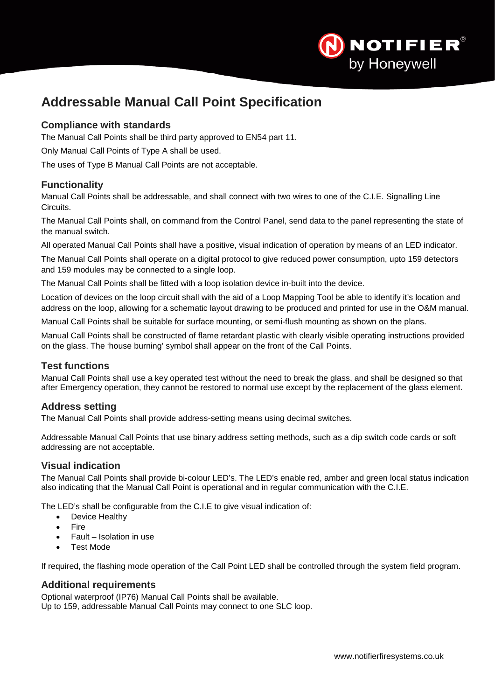

# <span id="page-26-0"></span>**Addressable Manual Call Point Specification**

## **Compliance with standards**

The Manual Call Points shall be third party approved to EN54 part 11.

Only Manual Call Points of Type A shall be used.

The uses of Type B Manual Call Points are not acceptable.

## **Functionality**

Manual Call Points shall be addressable, and shall connect with two wires to one of the C.I.E. Signalling Line Circuits.

The Manual Call Points shall, on command from the Control Panel, send data to the panel representing the state of the manual switch.

All operated Manual Call Points shall have a positive, visual indication of operation by means of an LED indicator.

The Manual Call Points shall operate on a digital protocol to give reduced power consumption, upto 159 detectors and 159 modules may be connected to a single loop.

The Manual Call Points shall be fitted with a loop isolation device in-built into the device.

Location of devices on the loop circuit shall with the aid of a Loop Mapping Tool be able to identify it's location and address on the loop, allowing for a schematic layout drawing to be produced and printed for use in the O&M manual.

Manual Call Points shall be suitable for surface mounting, or semi-flush mounting as shown on the plans.

Manual Call Points shall be constructed of flame retardant plastic with clearly visible operating instructions provided on the glass. The 'house burning' symbol shall appear on the front of the Call Points.

## **Test functions**

Manual Call Points shall use a key operated test without the need to break the glass, and shall be designed so that after Emergency operation, they cannot be restored to normal use except by the replacement of the glass element.

## **Address setting**

The Manual Call Points shall provide address-setting means using decimal switches.

Addressable Manual Call Points that use binary address setting methods, such as a dip switch code cards or soft addressing are not acceptable.

## **Visual indication**

The Manual Call Points shall provide bi-colour LED's. The LED's enable red, amber and green local status indication also indicating that the Manual Call Point is operational and in regular communication with the C.I.E.

The LED's shall be configurable from the C.I.E to give visual indication of:

- Device Healthy
- Fire
- Fault Isolation in use
- Test Mode

If required, the flashing mode operation of the Call Point LED shall be controlled through the system field program.

## **Additional requirements**

Optional waterproof (IP76) Manual Call Points shall be available. Up to 159, addressable Manual Call Points may connect to one SLC loop.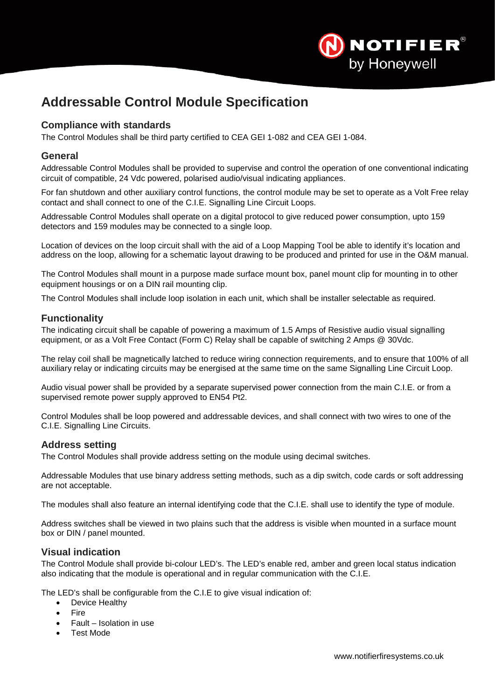

# <span id="page-27-0"></span>**Addressable Control Module Specification**

## **Compliance with standards**

The Control Modules shall be third party certified to CEA GEI 1-082 and CEA GEI 1-084.

#### **General**

Addressable Control Modules shall be provided to supervise and control the operation of one conventional indicating circuit of compatible, 24 Vdc powered, polarised audio/visual indicating appliances.

For fan shutdown and other auxiliary control functions, the control module may be set to operate as a Volt Free relay contact and shall connect to one of the C.I.E. Signalling Line Circuit Loops.

Addressable Control Modules shall operate on a digital protocol to give reduced power consumption, upto 159 detectors and 159 modules may be connected to a single loop.

Location of devices on the loop circuit shall with the aid of a Loop Mapping Tool be able to identify it's location and address on the loop, allowing for a schematic layout drawing to be produced and printed for use in the O&M manual.

The Control Modules shall mount in a purpose made surface mount box, panel mount clip for mounting in to other equipment housings or on a DIN rail mounting clip.

The Control Modules shall include loop isolation in each unit, which shall be installer selectable as required.

#### **Functionality**

The indicating circuit shall be capable of powering a maximum of 1.5 Amps of Resistive audio visual signalling equipment, or as a Volt Free Contact (Form C) Relay shall be capable of switching 2 Amps @ 30Vdc.

The relay coil shall be magnetically latched to reduce wiring connection requirements, and to ensure that 100% of all auxiliary relay or indicating circuits may be energised at the same time on the same Signalling Line Circuit Loop.

Audio visual power shall be provided by a separate supervised power connection from the main C.I.E. or from a supervised remote power supply approved to EN54 Pt2.

Control Modules shall be loop powered and addressable devices, and shall connect with two wires to one of the C.I.E. Signalling Line Circuits.

## **Address setting**

The Control Modules shall provide address setting on the module using decimal switches.

Addressable Modules that use binary address setting methods, such as a dip switch, code cards or soft addressing are not acceptable.

The modules shall also feature an internal identifying code that the C.I.E. shall use to identify the type of module.

Address switches shall be viewed in two plains such that the address is visible when mounted in a surface mount box or DIN / panel mounted.

#### **Visual indication**

The Control Module shall provide bi-colour LED's. The LED's enable red, amber and green local status indication also indicating that the module is operational and in regular communication with the C.I.E.

The LED's shall be configurable from the C.I.E to give visual indication of:

- Device Healthy
- **Fire**
- Fault Isolation in use
- Test Mode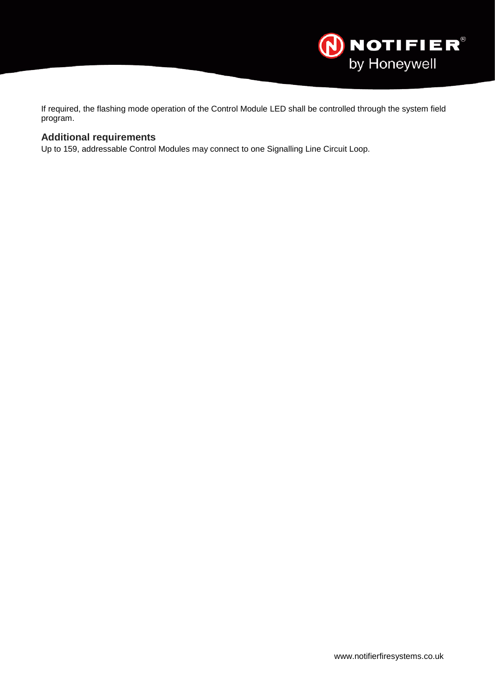

If required, the flashing mode operation of the Control Module LED shall be controlled through the system field program.

## **Additional requirements**

Up to 159, addressable Control Modules may connect to one Signalling Line Circuit Loop.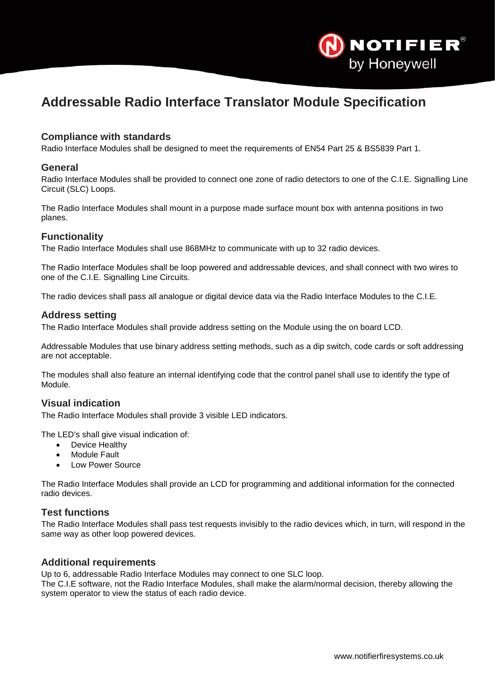

# <span id="page-29-0"></span>**Addressable Radio Interface Translator Module Specification**

## **Compliance with standards**

Radio Interface Modules shall be designed to meet the requirements of EN54 Part 25 & BS5839 Part 1.

#### **General**

Radio Interface Modules shall be provided to connect one zone of radio detectors to one of the C.I.E. Signalling Line Circuit (SLC) Loops.

The Radio Interface Modules shall mount in a purpose made surface mount box with antenna positions in two planes.

#### **Functionality**

The Radio Interface Modules shall use 868MHz to communicate with up to 32 radio devices.

The Radio Interface Modules shall be loop powered and addressable devices, and shall connect with two wires to one of the C.I.E. Signalling Line Circuits.

The radio devices shall pass all analogue or digital device data via the Radio Interface Modules to the C.I.E.

#### **Address setting**

The Radio Interface Modules shall provide address setting on the Module using the on board LCD.

Addressable Modules that use binary address setting methods, such as a dip switch, code cards or soft addressing are not acceptable.

The modules shall also feature an internal identifying code that the control panel shall use to identify the type of Module.

## **Visual indication**

The Radio Interface Modules shall provide 3 visible LED indicators.

The LED's shall give visual indication of:

- Device Healthy
- **Module Fault**
- Low Power Source

The Radio Interface Modules shall provide an LCD for programming and additional information for the connected radio devices.

#### **Test functions**

The Radio Interface Modules shall pass test requests invisibly to the radio devices which, in turn, will respond in the same way as other loop powered devices.

#### **Additional requirements**

Up to 6, addressable Radio Interface Modules may connect to one SLC loop.

The C.I.E software, not the Radio Interface Modules, shall make the alarm/normal decision, thereby allowing the system operator to view the status of each radio device.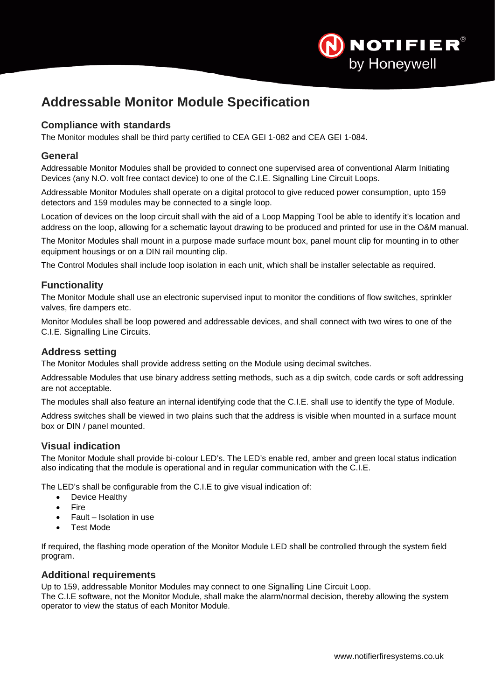

# <span id="page-30-0"></span>**Addressable Monitor Module Specification**

## **Compliance with standards**

The Monitor modules shall be third party certified to CEA GEI 1-082 and CEA GEI 1-084.

#### **General**

Addressable Monitor Modules shall be provided to connect one supervised area of conventional Alarm Initiating Devices (any N.O. volt free contact device) to one of the C.I.E. Signalling Line Circuit Loops.

Addressable Monitor Modules shall operate on a digital protocol to give reduced power consumption, upto 159 detectors and 159 modules may be connected to a single loop.

Location of devices on the loop circuit shall with the aid of a Loop Mapping Tool be able to identify it's location and address on the loop, allowing for a schematic layout drawing to be produced and printed for use in the O&M manual.

The Monitor Modules shall mount in a purpose made surface mount box, panel mount clip for mounting in to other equipment housings or on a DIN rail mounting clip.

The Control Modules shall include loop isolation in each unit, which shall be installer selectable as required.

## **Functionality**

The Monitor Module shall use an electronic supervised input to monitor the conditions of flow switches, sprinkler valves, fire dampers etc.

Monitor Modules shall be loop powered and addressable devices, and shall connect with two wires to one of the C.I.E. Signalling Line Circuits.

#### **Address setting**

The Monitor Modules shall provide address setting on the Module using decimal switches.

Addressable Modules that use binary address setting methods, such as a dip switch, code cards or soft addressing are not acceptable.

The modules shall also feature an internal identifying code that the C.I.E. shall use to identify the type of Module.

Address switches shall be viewed in two plains such that the address is visible when mounted in a surface mount box or DIN / panel mounted.

## **Visual indication**

The Monitor Module shall provide bi-colour LED's. The LED's enable red, amber and green local status indication also indicating that the module is operational and in regular communication with the C.I.E.

The LED's shall be configurable from the C.I.E to give visual indication of:

- Device Healthy
- Fire
- Fault Isolation in use
- Test Mode

If required, the flashing mode operation of the Monitor Module LED shall be controlled through the system field program.

## **Additional requirements**

Up to 159, addressable Monitor Modules may connect to one Signalling Line Circuit Loop.

The C.I.E software, not the Monitor Module, shall make the alarm/normal decision, thereby allowing the system operator to view the status of each Monitor Module.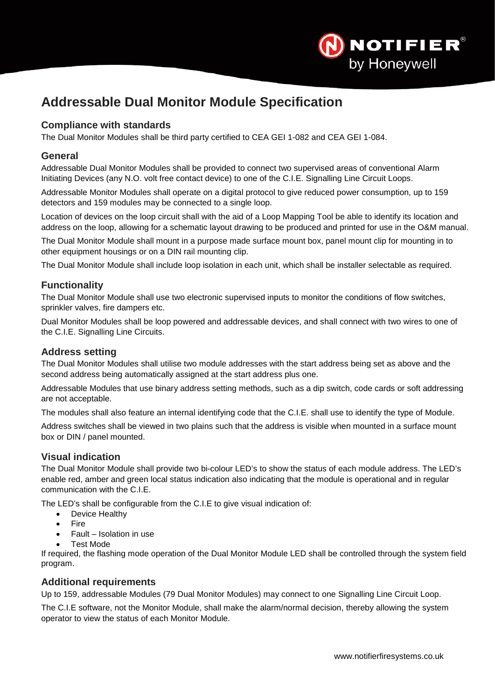

# <span id="page-31-0"></span>**Addressable Dual Monitor Module Specification**

## **Compliance with standards**

The Dual Monitor Modules shall be third party certified to CEA GEI 1-082 and CEA GEI 1-084.

#### **General**

Addressable Dual Monitor Modules shall be provided to connect two supervised areas of conventional Alarm Initiating Devices (any N.O. volt free contact device) to one of the C.I.E. Signalling Line Circuit Loops.

Addressable Monitor Modules shall operate on a digital protocol to give reduced power consumption, up to 159 detectors and 159 modules may be connected to a single loop.

Location of devices on the loop circuit shall with the aid of a Loop Mapping Tool be able to identify its location and address on the loop, allowing for a schematic layout drawing to be produced and printed for use in the O&M manual.

The Dual Monitor Module shall mount in a purpose made surface mount box, panel mount clip for mounting in to other equipment housings or on a DIN rail mounting clip.

The Dual Monitor Module shall include loop isolation in each unit, which shall be installer selectable as required.

## **Functionality**

The Dual Monitor Module shall use two electronic supervised inputs to monitor the conditions of flow switches, sprinkler valves, fire dampers etc.

Dual Monitor Modules shall be loop powered and addressable devices, and shall connect with two wires to one of the C.I.E. Signalling Line Circuits.

#### **Address setting**

The Dual Monitor Modules shall utilise two module addresses with the start address being set as above and the second address being automatically assigned at the start address plus one.

Addressable Modules that use binary address setting methods, such as a dip switch, code cards or soft addressing are not acceptable.

The modules shall also feature an internal identifying code that the C.I.E. shall use to identify the type of Module.

Address switches shall be viewed in two plains such that the address is visible when mounted in a surface mount box or DIN / panel mounted.

## **Visual indication**

The Dual Monitor Module shall provide two bi-colour LED's to show the status of each module address. The LED's enable red, amber and green local status indication also indicating that the module is operational and in regular communication with the C.I.E.

The LED's shall be configurable from the C.I.E to give visual indication of:

- Device Healthy
- Fire
- Fault Isolation in use
- Test Mode

If required, the flashing mode operation of the Dual Monitor Module LED shall be controlled through the system field program.

#### **Additional requirements**

Up to 159, addressable Modules (79 Dual Monitor Modules) may connect to one Signalling Line Circuit Loop.

The C.I.E software, not the Monitor Module, shall make the alarm/normal decision, thereby allowing the system operator to view the status of each Monitor Module.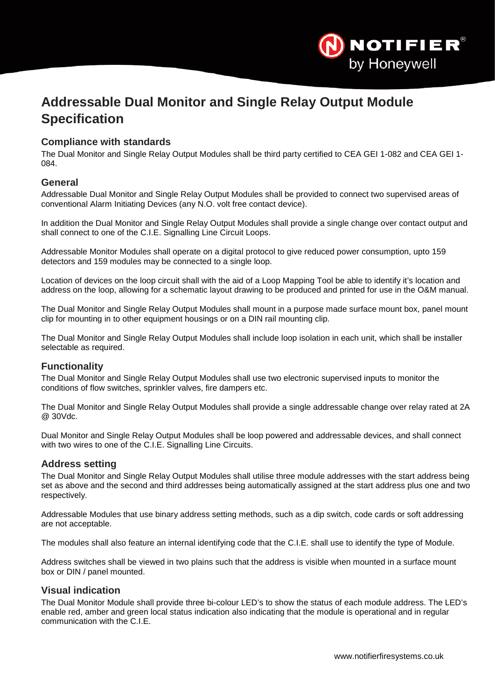

# <span id="page-32-0"></span>**Addressable Dual Monitor and Single Relay Output Module Specification**

## **Compliance with standards**

The Dual Monitor and Single Relay Output Modules shall be third party certified to CEA GEI 1-082 and CEA GEI 1- 084.

## **General**

Addressable Dual Monitor and Single Relay Output Modules shall be provided to connect two supervised areas of conventional Alarm Initiating Devices (any N.O. volt free contact device).

In addition the Dual Monitor and Single Relay Output Modules shall provide a single change over contact output and shall connect to one of the C.I.E. Signalling Line Circuit Loops.

Addressable Monitor Modules shall operate on a digital protocol to give reduced power consumption, upto 159 detectors and 159 modules may be connected to a single loop.

Location of devices on the loop circuit shall with the aid of a Loop Mapping Tool be able to identify it's location and address on the loop, allowing for a schematic layout drawing to be produced and printed for use in the O&M manual.

The Dual Monitor and Single Relay Output Modules shall mount in a purpose made surface mount box, panel mount clip for mounting in to other equipment housings or on a DIN rail mounting clip.

The Dual Monitor and Single Relay Output Modules shall include loop isolation in each unit, which shall be installer selectable as required.

## **Functionality**

The Dual Monitor and Single Relay Output Modules shall use two electronic supervised inputs to monitor the conditions of flow switches, sprinkler valves, fire dampers etc.

The Dual Monitor and Single Relay Output Modules shall provide a single addressable change over relay rated at 2A @ 30Vdc.

Dual Monitor and Single Relay Output Modules shall be loop powered and addressable devices, and shall connect with two wires to one of the C.I.E. Signalling Line Circuits.

#### **Address setting**

The Dual Monitor and Single Relay Output Modules shall utilise three module addresses with the start address being set as above and the second and third addresses being automatically assigned at the start address plus one and two respectively.

Addressable Modules that use binary address setting methods, such as a dip switch, code cards or soft addressing are not acceptable.

The modules shall also feature an internal identifying code that the C.I.E. shall use to identify the type of Module.

Address switches shall be viewed in two plains such that the address is visible when mounted in a surface mount box or DIN / panel mounted.

## **Visual indication**

The Dual Monitor Module shall provide three bi-colour LED's to show the status of each module address. The LED's enable red, amber and green local status indication also indicating that the module is operational and in regular communication with the C.I.E.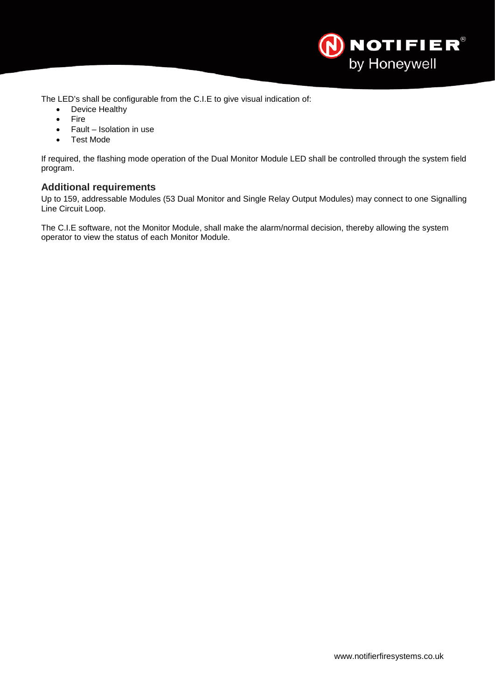

The LED's shall be configurable from the C.I.E to give visual indication of:

- Device Healthy
- Fire
- Fault Isolation in use
- Test Mode

If required, the flashing mode operation of the Dual Monitor Module LED shall be controlled through the system field program.

## **Additional requirements**

Up to 159, addressable Modules (53 Dual Monitor and Single Relay Output Modules) may connect to one Signalling Line Circuit Loop.

The C.I.E software, not the Monitor Module, shall make the alarm/normal decision, thereby allowing the system operator to view the status of each Monitor Module.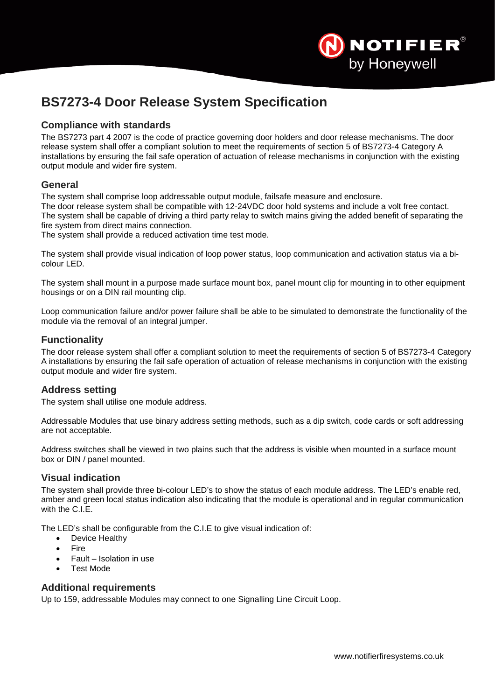

# <span id="page-34-0"></span>**BS7273-4 Door Release System Specification**

## **Compliance with standards**

The BS7273 part 4 2007 is the code of practice governing door holders and door release mechanisms. The door release system shall offer a compliant solution to meet the requirements of section 5 of BS7273-4 Category A installations by ensuring the fail safe operation of actuation of release mechanisms in conjunction with the existing output module and wider fire system.

## **General**

The system shall comprise loop addressable output module, failsafe measure and enclosure.

The door release system shall be compatible with 12-24VDC door hold systems and include a volt free contact. The system shall be capable of driving a third party relay to switch mains giving the added benefit of separating the fire system from direct mains connection.

The system shall provide a reduced activation time test mode.

The system shall provide visual indication of loop power status, loop communication and activation status via a bicolour LED.

The system shall mount in a purpose made surface mount box, panel mount clip for mounting in to other equipment housings or on a DIN rail mounting clip.

Loop communication failure and/or power failure shall be able to be simulated to demonstrate the functionality of the module via the removal of an integral jumper.

## **Functionality**

The door release system shall offer a compliant solution to meet the requirements of section 5 of BS7273-4 Category A installations by ensuring the fail safe operation of actuation of release mechanisms in conjunction with the existing output module and wider fire system.

## **Address setting**

The system shall utilise one module address.

Addressable Modules that use binary address setting methods, such as a dip switch, code cards or soft addressing are not acceptable.

Address switches shall be viewed in two plains such that the address is visible when mounted in a surface mount box or DIN / panel mounted.

## **Visual indication**

The system shall provide three bi-colour LED's to show the status of each module address. The LED's enable red, amber and green local status indication also indicating that the module is operational and in regular communication with the C.I.E.

The LED's shall be configurable from the C.I.E to give visual indication of:

- Device Healthy
- Fire
- Fault Isolation in use
- Test Mode

## **Additional requirements**

Up to 159, addressable Modules may connect to one Signalling Line Circuit Loop.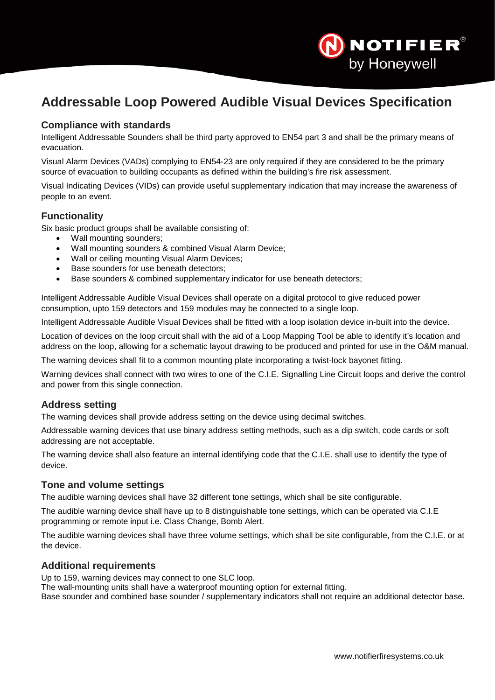

# <span id="page-35-0"></span>**Addressable Loop Powered Audible Visual Devices Specification**

## **Compliance with standards**

Intelligent Addressable Sounders shall be third party approved to EN54 part 3 and shall be the primary means of evacuation.

Visual Alarm Devices (VADs) complying to EN54-23 are only required if they are considered to be the primary source of evacuation to building occupants as defined within the building's fire risk assessment.

Visual Indicating Devices (VIDs) can provide useful supplementary indication that may increase the awareness of people to an event.

## **Functionality**

Six basic product groups shall be available consisting of:

- Wall mounting sounders;
- Wall mounting sounders & combined Visual Alarm Device;
- Wall or ceiling mounting Visual Alarm Devices;
- Base sounders for use beneath detectors;
- Base sounders & combined supplementary indicator for use beneath detectors;

Intelligent Addressable Audible Visual Devices shall operate on a digital protocol to give reduced power consumption, upto 159 detectors and 159 modules may be connected to a single loop.

Intelligent Addressable Audible Visual Devices shall be fitted with a loop isolation device in-built into the device.

Location of devices on the loop circuit shall with the aid of a Loop Mapping Tool be able to identify it's location and address on the loop, allowing for a schematic layout drawing to be produced and printed for use in the O&M manual.

The warning devices shall fit to a common mounting plate incorporating a twist-lock bayonet fitting.

Warning devices shall connect with two wires to one of the C.I.E. Signalling Line Circuit loops and derive the control and power from this single connection.

## **Address setting**

The warning devices shall provide address setting on the device using decimal switches.

Addressable warning devices that use binary address setting methods, such as a dip switch, code cards or soft addressing are not acceptable.

The warning device shall also feature an internal identifying code that the C.I.E. shall use to identify the type of device.

#### **Tone and volume settings**

The audible warning devices shall have 32 different tone settings, which shall be site configurable.

The audible warning device shall have up to 8 distinguishable tone settings, which can be operated via C.I.E programming or remote input i.e. Class Change, Bomb Alert.

The audible warning devices shall have three volume settings, which shall be site configurable, from the C.I.E. or at the device.

## **Additional requirements**

Up to 159, warning devices may connect to one SLC loop.

The wall-mounting units shall have a waterproof mounting option for external fitting.

Base sounder and combined base sounder / supplementary indicators shall not require an additional detector base.